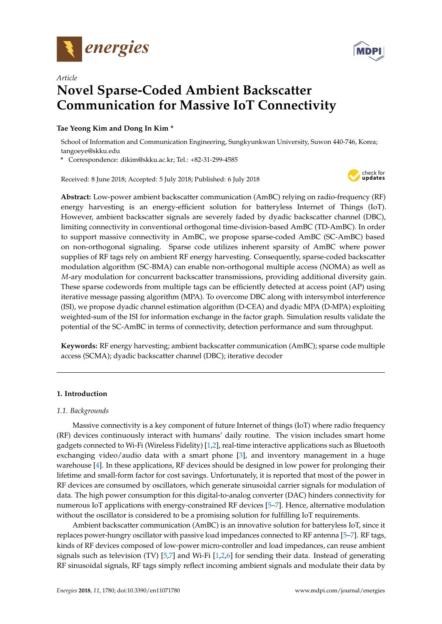

*Article*



# **Novel Sparse-Coded Ambient Backscatter Communication for Massive IoT Connectivity**

# **Tae Yeong Kim and Dong In Kim \***

School of Information and Communication Engineering, Sungkyunkwan University, Suwon 440-746, Korea; tangoeye@skku.edu

**\*** Correspondence: dikim@skku.ac.kr; Tel.: +82-31-299-4585

Received: 8 June 2018; Accepted: 5 July 2018; Published: 6 July 2018



**Abstract:** Low-power ambient backscatter communication (AmBC) relying on radio-frequency (RF) energy harvesting is an energy-efficient solution for batteryless Internet of Things (IoT). However, ambient backscatter signals are severely faded by dyadic backscatter channel (DBC), limiting connectivity in conventional orthogonal time-division-based AmBC (TD-AmBC). In order to support massive connectivity in AmBC, we propose sparse-coded AmBC (SC-AmBC) based on non-orthogonal signaling. Sparse code utilizes inherent sparsity of AmBC where power supplies of RF tags rely on ambient RF energy harvesting. Consequently, sparse-coded backscatter modulation algorithm (SC-BMA) can enable non-orthogonal multiple access (NOMA) as well as *M*-ary modulation for concurrent backscatter transmissions, providing additional diversity gain. These sparse codewords from multiple tags can be efficiently detected at access point (AP) using iterative message passing algorithm (MPA). To overcome DBC along with intersymbol interference (ISI), we propose dyadic channel estimation algorithm (D-CEA) and dyadic MPA (D-MPA) exploiting weighted-sum of the ISI for information exchange in the factor graph. Simulation results validate the potential of the SC-AmBC in terms of connectivity, detection performance and sum throughput.

**Keywords:** RF energy harvesting; ambient backscatter communication (AmBC); sparse code multiple access (SCMA); dyadic backscatter channel (DBC); iterative decoder

# **1. Introduction**

# *1.1. Backgrounds*

Massive connectivity is a key component of future Internet of things (IoT) where radio frequency (RF) devices continuously interact with humans' daily routine. The vision includes smart home gadgets connected to Wi-Fi (Wireless Fidelity) [\[1](#page-21-0)[,2\]](#page-21-1), real-time interactive applications such as Bluetooth exchanging video/audio data with a smart phone [\[3\]](#page-21-2), and inventory management in a huge warehouse [\[4\]](#page-21-3). In these applications, RF devices should be designed in low power for prolonging their lifetime and small-form factor for cost savings. Unfortunately, it is reported that most of the power in RF devices are consumed by oscillators, which generate sinusoidal carrier signals for modulation of data. The high power consumption for this digital-to-analog converter (DAC) hinders connectivity for numerous IoT applications with energy-constrained RF devices [\[5–](#page-21-4)[7\]](#page-21-5). Hence, alternative modulation without the oscillator is considered to be a promising solution for fulfilling IoT requirements.

Ambient backscatter communication (AmBC) is an innovative solution for batteryless IoT, since it replaces power-hungry oscillator with passive load impedances connected to RF antenna [\[5](#page-21-4)[–7\]](#page-21-5). RF tags, kinds of RF devices composed of low-power micro-controller and load impedances, can reuse ambient signals such as television (TV)  $[5,7]$  $[5,7]$  and Wi-Fi  $[1,2,6]$  $[1,2,6]$  $[1,2,6]$  for sending their data. Instead of generating RF sinusoidal signals, RF tags simply reflect incoming ambient signals and modulate their data by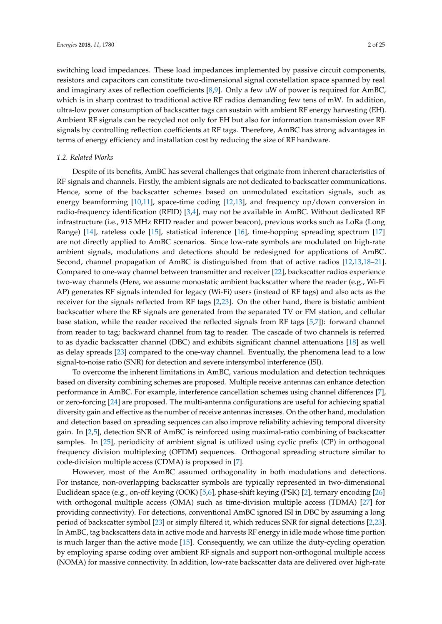switching load impedances. These load impedances implemented by passive circuit components, resistors and capacitors can constitute two-dimensional signal constellation space spanned by real and imaginary axes of reflection coefficients [\[8](#page-21-7)[,9\]](#page-22-0). Only a few  $\mu$ W of power is required for AmBC, which is in sharp contrast to traditional active RF radios demanding few tens of mW. In addition, ultra-low power consumption of backscatter tags can sustain with ambient RF energy harvesting (EH). Ambient RF signals can be recycled not only for EH but also for information transmission over RF signals by controlling reflection coefficients at RF tags. Therefore, AmBC has strong advantages in terms of energy efficiency and installation cost by reducing the size of RF hardware.

## *1.2. Related Works*

Despite of its benefits, AmBC has several challenges that originate from inherent characteristics of RF signals and channels. Firstly, the ambient signals are not dedicated to backscatter communications. Hence, some of the backscatter schemes based on unmodulated excitation signals, such as energy beamforming [\[10,](#page-22-1)[11\]](#page-22-2), space-time coding [\[12,](#page-22-3)[13\]](#page-22-4), and frequency up/down conversion in radio-frequency identification (RFID) [\[3,](#page-21-2)[4\]](#page-21-3), may not be available in AmBC. Without dedicated RF infrastructure (i.e., 915 MHz RFID reader and power beacon), previous works such as LoRa (Long Range) [\[14\]](#page-22-5), rateless code [\[15\]](#page-22-6), statistical inference [\[16\]](#page-22-7), time-hopping spreading spectrum [\[17\]](#page-22-8) are not directly applied to AmBC scenarios. Since low-rate symbols are modulated on high-rate ambient signals, modulations and detections should be redesigned for applications of AmBC. Second, channel propagation of AmBC is distinguished from that of active radios [\[12,](#page-22-3)[13,](#page-22-4)[18–](#page-22-9)[21\]](#page-22-10). Compared to one-way channel between transmitter and receiver [\[22\]](#page-22-11), backscatter radios experience two-way channels (Here, we assume monostatic ambient backscatter where the reader (e.g., Wi-Fi AP) generates RF signals intended for legacy (Wi-Fi) users (instead of RF tags) and also acts as the receiver for the signals reflected from RF tags [\[2](#page-21-1)[,23\]](#page-22-12). On the other hand, there is bistatic ambient backscatter where the RF signals are generated from the separated TV or FM station, and cellular base station, while the reader received the reflected signals from RF tags [\[5](#page-21-4)[,7\]](#page-21-5)): forward channel from reader to tag; backward channel from tag to reader. The cascade of two channels is referred to as dyadic backscatter channel (DBC) and exhibits significant channel attenuations [\[18\]](#page-22-9) as well as delay spreads [\[23\]](#page-22-12) compared to the one-way channel. Eventually, the phenomena lead to a low signal-to-noise ratio (SNR) for detection and severe intersymbol interference (ISI).

To overcome the inherent limitations in AmBC, various modulation and detection techniques based on diversity combining schemes are proposed. Multiple receive antennas can enhance detection performance in AmBC. For example, interference cancellation schemes using channel differences [\[7\]](#page-21-5), or zero-forcing [\[24\]](#page-22-13) are proposed. The multi-antenna configurations are useful for achieving spatial diversity gain and effective as the number of receive antennas increases. On the other hand, modulation and detection based on spreading sequences can also improve reliability achieving temporal diversity gain. In [\[2](#page-21-1)[,5\]](#page-21-4), detection SNR of AmBC is reinforced using maximal-ratio combining of backscatter samples. In [\[25\]](#page-22-14), periodicity of ambient signal is utilized using cyclic prefix (CP) in orthogonal frequency division multiplexing (OFDM) sequences. Orthogonal spreading structure similar to code-division multiple access (CDMA) is proposed in [\[7\]](#page-21-5).

However, most of the AmBC assumed orthogonality in both modulations and detections. For instance, non-overlapping backscatter symbols are typically represented in two-dimensional Euclidean space (e.g., on-off keying (OOK) [\[5](#page-21-4)[,6\]](#page-21-6), phase-shift keying (PSK) [\[2\]](#page-21-1), ternary encoding [\[26\]](#page-22-15) with orthogonal multiple access (OMA) such as time-division multiple access (TDMA) [\[27\]](#page-22-16) for providing connectivity). For detections, conventional AmBC ignored ISI in DBC by assuming a long period of backscatter symbol [\[23\]](#page-22-12) or simply filtered it, which reduces SNR for signal detections [\[2,](#page-21-1)[23\]](#page-22-12). In AmBC, tag backscatters data in active mode and harvests RF energy in idle mode whose time portion is much larger than the active mode [\[15\]](#page-22-6). Consequently, we can utilize the duty-cycling operation by employing sparse coding over ambient RF signals and support non-orthogonal multiple access (NOMA) for massive connectivity. In addition, low-rate backscatter data are delivered over high-rate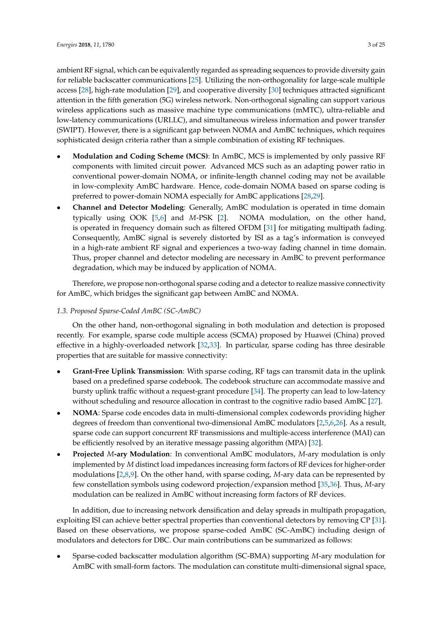ambient RF signal, which can be equivalently regarded as spreading sequences to provide diversity gain for reliable backscatter communications [\[25\]](#page-22-14). Utilizing the non-orthogonality for large-scale multiple access [\[28\]](#page-22-17), high-rate modulation [\[29\]](#page-22-18), and cooperative diversity [\[30\]](#page-22-19) techniques attracted significant attention in the fifth generation (5G) wireless network. Non-orthogonal signaling can support various wireless applications such as massive machine type communications (mMTC), ultra-reliable and low-latency communications (URLLC), and simultaneous wireless information and power transfer (SWIPT). However, there is a significant gap between NOMA and AmBC techniques, which requires sophisticated design criteria rather than a simple combination of existing RF techniques.

- **Modulation and Coding Scheme (MCS)**: In AmBC, MCS is implemented by only passive RF components with limited circuit power. Advanced MCS such as an adapting power ratio in conventional power-domain NOMA, or infinite-length channel coding may not be available in low-complexity AmBC hardware. Hence, code-domain NOMA based on sparse coding is preferred to power-domain NOMA especially for AmBC applications [\[28,](#page-22-17)[29\]](#page-22-18).
- **Channel and Detector Modeling**: Generally, AmBC modulation is operated in time domain typically using OOK [\[5](#page-21-4)[,6\]](#page-21-6) and *M*-PSK [\[2\]](#page-21-1). NOMA modulation, on the other hand, is operated in frequency domain such as filtered OFDM [\[31\]](#page-22-20) for mitigating multipath fading. Consequently, AmBC signal is severely distorted by ISI as a tag's information is conveyed in a high-rate ambient RF signal and experiences a two-way fading channel in time domain. Thus, proper channel and detector modeling are necessary in AmBC to prevent performance degradation, which may be induced by application of NOMA.

Therefore, we propose non-orthogonal sparse coding and a detector to realize massive connectivity for AmBC, which bridges the significant gap between AmBC and NOMA.

# *1.3. Proposed Sparse-Coded AmBC (SC-AmBC)*

On the other hand, non-orthogonal signaling in both modulation and detection is proposed recently. For example, sparse code multiple access (SCMA) proposed by Huawei (China) proved effective in a highly-overloaded network [\[32](#page-22-21)[,33\]](#page-23-0). In particular, sparse coding has three desirable properties that are suitable for massive connectivity:

- **Grant-Free Uplink Transmission**: With sparse coding, RF tags can transmit data in the uplink based on a predefined sparse codebook. The codebook structure can accommodate massive and bursty uplink traffic without a request-grant procedure [\[34\]](#page-23-1). The property can lead to low-latency without scheduling and resource allocation in contrast to the cognitive radio based AmBC [\[27\]](#page-22-16).
- **NOMA**: Sparse code encodes data in multi-dimensional complex codewords providing higher degrees of freedom than conventional two-dimensional AmBC modulators [\[2](#page-21-1)[,5](#page-21-4)[,6](#page-21-6)[,26\]](#page-22-15). As a result, sparse code can support concurrent RF transmissions and multiple-access interference (MAI) can be efficiently resolved by an iterative message passing algorithm (MPA) [\[32\]](#page-22-21).
- **Projected** *M***-ary Modulation**: In conventional AmBC modulators, *M*-ary modulation is only implemented by *M* distinct load impedances increasing form factors of RF devices for higher-order modulations [\[2](#page-21-1)[,8](#page-21-7)[,9\]](#page-22-0). On the other hand, with sparse coding, *M*-ary data can be represented by few constellation symbols using codeword projection/expansion method [\[35](#page-23-2)[,36\]](#page-23-3). Thus, *M*-ary modulation can be realized in AmBC without increasing form factors of RF devices.

In addition, due to increasing network densification and delay spreads in multipath propagation, exploiting ISI can achieve better spectral properties than conventional detectors by removing CP [\[31\]](#page-22-20). Based on these observations, we propose sparse-coded AmBC (SC-AmBC) including design of modulators and detectors for DBC. Our main contributions can be summarized as follows:

• Sparse-coded backscatter modulation algorithm (SC-BMA) supporting *M*-ary modulation for AmBC with small-form factors. The modulation can constitute multi-dimensional signal space,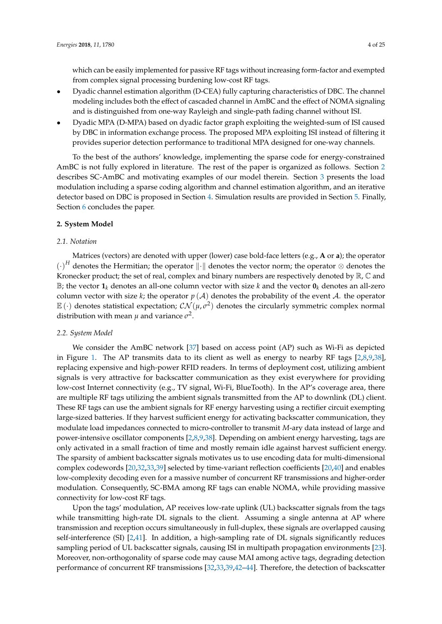which can be easily implemented for passive RF tags without increasing form-factor and exempted from complex signal processing burdening low-cost RF tags.

- Dyadic channel estimation algorithm (D-CEA) fully capturing characteristics of DBC. The channel modeling includes both the effect of cascaded channel in AmBC and the effect of NOMA signaling and is distinguished from one-way Rayleigh and single-path fading channel without ISI.
- Dyadic MPA (D-MPA) based on dyadic factor graph exploiting the weighted-sum of ISI caused by DBC in information exchange process. The proposed MPA exploiting ISI instead of filtering it provides superior detection performance to traditional MPA designed for one-way channels.

To the best of the authors' knowledge, implementing the sparse code for energy-constrained AmBC is not fully explored in literature. The rest of the paper is organized as follows. Section [2](#page-3-0) describes SC-AmBC and motivating examples of our model therein. Section [3](#page-6-0) presents the load modulation including a sparse coding algorithm and channel estimation algorithm, and an iterative detector based on DBC is proposed in Section [4.](#page-12-0) Simulation results are provided in Section [5.](#page-17-0) Finally, Section [6](#page-21-8) concludes the paper.

## <span id="page-3-0"></span>**2. System Model**

## *2.1. Notation*

Matrices (vectors) are denoted with upper (lower) case bold-face letters (e.g., **A** or **a**); the operator  ${(\cdot)}^H$  denotes the Hermitian; the operator  $\|\cdot\|$  denotes the vector norm; the operator ⊗ denotes the Kronecker product; the set of real, complex and binary numbers are respectively denoted by  $\mathbb{R}, \mathbb{C}$  and B; the vector  $\mathbf{1}_k$  denotes an all-one column vector with size *k* and the vector  $\mathbf{0}_k$  denotes an all-zero column vector with size  $k$ ; the operator  $p(\mathcal{A})$  denotes the probability of the event  $\mathcal{A}$ . the operator  $\mathbb{E}(\cdot)$  denotes statistical expectation;  $\mathcal{CN}(\mu,\sigma^2)$  denotes the circularly symmetric complex normal distribution with mean  $\mu$  and variance  $\sigma^2$ .

#### *2.2. System Model*

We consider the AmBC network [\[37\]](#page-23-4) based on access point (AP) such as Wi-Fi as depicted in Figure [1.](#page-4-0) The AP transmits data to its client as well as energy to nearby RF tags [\[2,](#page-21-1)[8,](#page-21-7)[9,](#page-22-0)[38\]](#page-23-5), replacing expensive and high-power RFID readers. In terms of deployment cost, utilizing ambient signals is very attractive for backscatter communication as they exist everywhere for providing low-cost Internet connectivity (e.g., TV signal, Wi-Fi, BlueTooth). In the AP's coverage area, there are multiple RF tags utilizing the ambient signals transmitted from the AP to downlink (DL) client. These RF tags can use the ambient signals for RF energy harvesting using a rectifier circuit exempting large-sized batteries. If they harvest sufficient energy for activating backscatter communication, they modulate load impedances connected to micro-controller to transmit *M*-ary data instead of large and power-intensive oscillator components [\[2](#page-21-1)[,8](#page-21-7)[,9](#page-22-0)[,38\]](#page-23-5). Depending on ambient energy harvesting, tags are only activated in a small fraction of time and mostly remain idle against harvest sufficient energy. The sparsity of ambient backscatter signals motivates us to use encoding data for multi-dimensional complex codewords [\[20,](#page-22-22)[32,](#page-22-21)[33,](#page-23-0)[39\]](#page-23-6) selected by time-variant reflection coefficients [\[20,](#page-22-22)[40\]](#page-23-7) and enables low-complexity decoding even for a massive number of concurrent RF transmissions and higher-order modulation. Consequently, SC-BMA among RF tags can enable NOMA, while providing massive connectivity for low-cost RF tags.

Upon the tags' modulation, AP receives low-rate uplink (UL) backscatter signals from the tags while transmitting high-rate DL signals to the client. Assuming a single antenna at AP where transmission and reception occurs simultaneously in full-duplex, these signals are overlapped causing self-interference (SI) [\[2,](#page-21-1)[41\]](#page-23-8). In addition, a high-sampling rate of DL signals significantly reduces sampling period of UL backscatter signals, causing ISI in multipath propagation environments [\[23\]](#page-22-12). Moreover, non-orthogonality of sparse code may cause MAI among active tags, degrading detection performance of concurrent RF transmissions [\[32](#page-22-21)[,33](#page-23-0)[,39](#page-23-6)[,42](#page-23-9)[–44\]](#page-23-10). Therefore, the detection of backscatter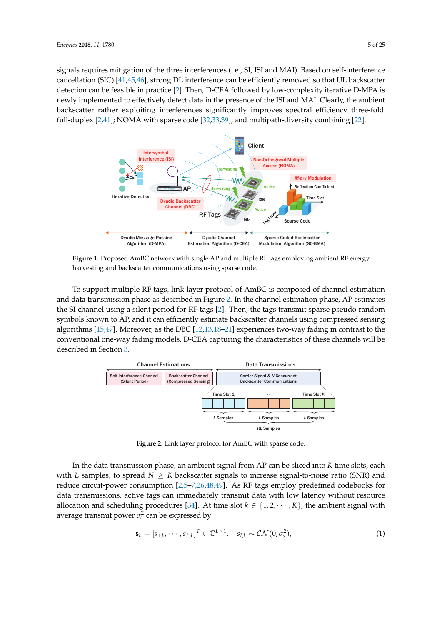signals requires mitigation of the three interferences (i.e., SI, ISI and MAI). Based on self-interference cancellation (SIC) [\[41](#page-23-8)[,45](#page-23-11)[,46\]](#page-23-12), strong DL interference can be efficiently removed so that UL backscatter detection can be feasible in practice [\[2\]](#page-21-1). Then, D-CEA followed by low-complexity iterative D-MPA is newly implemented to effectively detect data in the presence of the ISI and MAI. Clearly, the ambient backscatter rather exploiting interferences significantly improves spectral efficiency three-fold: full-duplex [\[2,](#page-21-1)[41\]](#page-23-8); NOMA with sparse code [\[32,](#page-22-21)[33](#page-23-0)[,39\]](#page-23-6); and multipath-diversity combining [\[22\]](#page-22-11).

<span id="page-4-0"></span>

**Figure 1.** Proposed AmBC network with single AP and multiple RF tags employing ambient RF energy harvesting and backscatter communications using sparse code.

To support multiple RF tags, link layer protocol of AmBC is composed of channel estimation and data transmission phase as described in Figure [2.](#page-4-1) In the channel estimation phase, AP estimates the SI channel using a silent period for RF tags [\[2\]](#page-21-1). Then, the tags transmit sparse pseudo random symbols known to AP, and it can efficiently estimate backscatter channels using compressed sensing algorithms [\[15](#page-22-6)[,47\]](#page-23-13). Moreover, as the DBC [\[12](#page-22-3)[,13](#page-22-4)[,18–](#page-22-9)[21\]](#page-22-10) experiences two-way fading in contrast to the conventional one-way fading models, D-CEA capturing the characteristics of these channels will be described in Section [3.](#page-6-0)

<span id="page-4-1"></span>

**Figure 2.** Link layer protocol for AmBC with sparse code.

In the data transmission phase, an ambient signal from AP can be sliced into *K* time slots, each with *L* samples, to spread  $N \geq K$  backscatter signals to increase signal-to-noise ratio (SNR) and reduce circuit-power consumption [\[2,](#page-21-1)[5–](#page-21-4)[7](#page-21-5)[,26](#page-22-15)[,48](#page-23-14)[,49\]](#page-23-15). As RF tags employ predefined codebooks for data transmissions, active tags can immediately transmit data with low latency without resource allocation and scheduling procedures [\[34\]](#page-23-1). At time slot  $k \in \{1, 2, \dots, K\}$ , the ambient signal with average transmit power  $\sigma_s^2$  can be expressed by

$$
\mathbf{s}_{k} = [s_{1,k}, \cdots, s_{L,k}]^{T} \in \mathbb{C}^{L \times 1}, \quad s_{l,k} \sim \mathcal{CN}(0, \sigma_{s}^{2}), \tag{1}
$$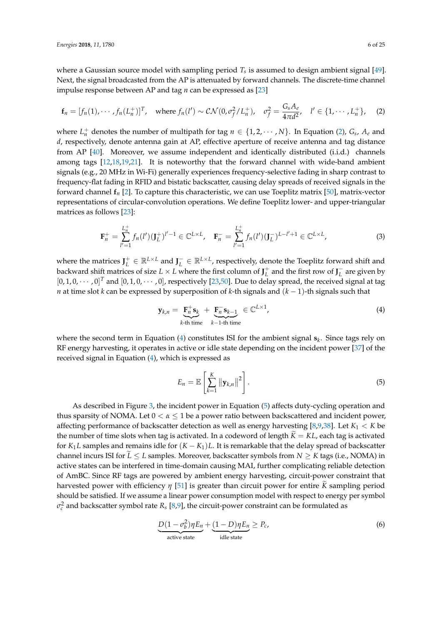where a Gaussian source model with sampling period *T<sup>s</sup>* is assumed to design ambient signal [\[49\]](#page-23-15). Next, the signal broadcasted from the AP is attenuated by forward channels. The discrete-time channel impulse response between AP and tag *n* can be expressed as [\[23\]](#page-22-12)

<span id="page-5-0"></span>
$$
\mathbf{f}_n = [f_n(1), \cdots, f_n(L_n^+)]^T, \text{ where } f_n(l') \sim \mathcal{CN}(0, \sigma_f^2/L_n^+), \quad \sigma_f^2 = \frac{G_s A_e}{4\pi d^2}, \quad l' \in \{1, \cdots, L_n^+\}, \quad (2)
$$

where  $L_n^+$  denotes the number of multipath for tag  $n \in \{1, 2, \dots, N\}$ . In Equation [\(2\)](#page-5-0),  $G_s$ ,  $A_e$  and *d*, respectively, denote antenna gain at AP, effective aperture of receive antenna and tag distance from AP [\[40\]](#page-23-7). Moreover, we assume independent and identically distributed (i.i.d.) channels among tags [\[12,](#page-22-3)[18,](#page-22-9)[19,](#page-22-23)[21\]](#page-22-10). It is noteworthy that the forward channel with wide-band ambient signals (e.g., 20 MHz in Wi-Fi) generally experiences frequency-selective fading in sharp contrast to frequency-flat fading in RFID and bistatic backscatter, causing delay spreads of received signals in the forward channel **f***n* [\[2\]](#page-21-1). To capture this characteristic, we can use Toeplitz matrix [\[50\]](#page-23-16), matrix-vector representations of circular-convolution operations. We define Toeplitz lower- and upper-triangular matrices as follows [\[23\]](#page-22-12):

<span id="page-5-3"></span>
$$
\mathbf{F}_n^+ = \sum_{l'=1}^{L_n^+} f_n(l') (\mathbf{J}_L^+)^{l'-1} \in \mathbb{C}^{L \times L}, \quad \mathbf{F}_n^- = \sum_{l'=1}^{L_n^+} f_n(l') (\mathbf{J}_L^-)^{L-l'+1} \in \mathbb{C}^{L \times L}, \tag{3}
$$

where the matrices  $J_L^+ \in \mathbb{R}^{L \times L}$  and  $J_L^- \in \mathbb{R}^{L \times L}$ , respectively, denote the Toeplitz forward shift and backward shift matrices of size  $L \times L$  where the first column of  $J_L^+$  and the first row of  $J_L^-$  are given by  $[0, 1, 0, \cdots, 0]^T$  and  $[0, 1, 0, \cdots, 0]$ , respectively [\[23](#page-22-12)[,50\]](#page-23-16). Due to delay spread, the received signal at tag *n* at time slot *k* can be expressed by superposition of *k*-th signals and (*k* − 1)-th signals such that

<span id="page-5-1"></span>
$$
\mathbf{y}_{k,n} = \underbrace{\mathbf{F}_n^+ \mathbf{s}_k}_{k-\text{th time}} + \underbrace{\mathbf{F}_n^- \mathbf{s}_{k-1}}_{k-1-\text{th time}} \in \mathbb{C}^{L \times 1},\tag{4}
$$

where the second term in Equation [\(4\)](#page-5-1) constitutes ISI for the ambient signal **s***<sup>k</sup>* . Since tags rely on RF energy harvesting, it operates in active or idle state depending on the incident power [\[37\]](#page-23-4) of the received signal in Equation [\(4\)](#page-5-1), which is expressed as

<span id="page-5-2"></span>
$$
E_n = \mathbb{E}\left[\sum_{k=1}^K ||\mathbf{y}_{k,n}||^2\right].
$$
 (5)

As described in Figure [3,](#page-6-1) the incident power in Equation [\(5\)](#page-5-2) affects duty-cycling operation and thus sparsity of NOMA. Let  $0 < \alpha \leq 1$  be a power ratio between backscattered and incident power, affecting performance of backscatter detection as well as energy harvesting [\[8,](#page-21-7)[9,](#page-22-0)[38\]](#page-23-5). Let *K*<sup>1</sup> < *K* be the number of time slots when tag is activated. In a codeword of length  $K = KL$ , each tag is activated for  $K_1L$  samples and remains idle for  $(K - K_1)L$ . It is remarkable that the delay spread of backscatter channel incurs ISI for  $\tilde{L} \leq L$  samples. Moreover, backscatter symbols from  $N \geq K$  tags (i.e., NOMA) in active states can be interfered in time-domain causing MAI, further complicating reliable detection of AmBC. Since RF tags are powered by ambient energy harvesting, circuit-power constraint that harvested power with efficiency *η* [\[51\]](#page-23-17) is greater than circuit power for entire *K* sampling period should be satisfied. If we assume a linear power consumption model with respect to energy per symbol  $\sigma_c^2$  and backscatter symbol rate  $R_s$  [\[8,](#page-21-7)[9\]](#page-22-0), the circuit-power constraint can be formulated as

$$
\underbrace{D(1 - \sigma_b^2)\eta E_n}_{\text{active state}} + \underbrace{(1 - D)\eta E_n}_{\text{idle state}} \ge P_c,
$$
\n(6)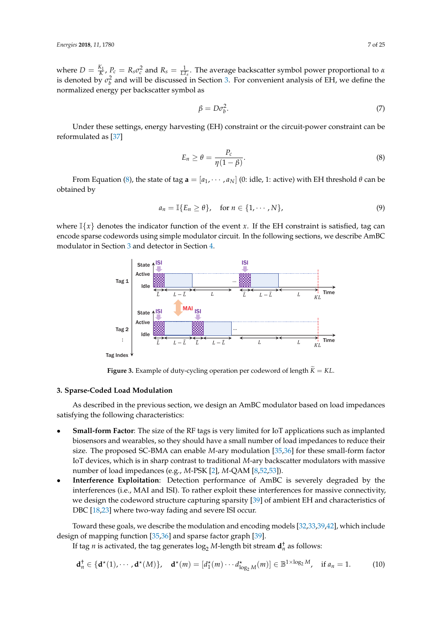where  $D = \frac{K_1}{K}$ ,  $P_c = R_s \sigma_c^2$  and  $R_s = \frac{1}{LT_s}$ . The average backscatter symbol power proportional to *α* is denoted by  $\sigma_b^2$  and will be discussed in Section [3.](#page-6-0) For convenient analysis of EH, we define the normalized energy per backscatter symbol as

<span id="page-6-3"></span>
$$
\beta = D\sigma_b^2. \tag{7}
$$

Under these settings, energy harvesting (EH) constraint or the circuit-power constraint can be reformulated as [\[37\]](#page-23-4)

<span id="page-6-2"></span>
$$
E_n \ge \theta = \frac{P_c}{\eta(1-\beta)}.\tag{8}
$$

From Equation [\(8\)](#page-6-2), the state of tag  $\mathbf{a} = [a_1, \dots, a_N]$  (0: idle, 1: active) with EH threshold  $\theta$  can be obtained by

$$
a_n = \mathbb{I}\{E_n \geq \theta\}, \quad \text{for } n \in \{1, \cdots, N\},
$$
\n<sup>(9)</sup>

<span id="page-6-1"></span>where  $\mathbb{I}\{x\}$  denotes the indicator function of the event *x*. If the EH constraint is satisfied, tag can encode sparse codewords using simple modulator circuit. In the following sections, we describe AmBC modulator in Section [3](#page-6-0) and detector in Section [4.](#page-12-0)



**Figure 3.** Example of duty-cycling operation per codeword of length  $\widetilde{K} = KL$ .

#### <span id="page-6-0"></span>**3. Sparse-Coded Load Modulation**

As described in the previous section, we design an AmBC modulator based on load impedances satisfying the following characteristics:

- **Small-form Factor**: The size of the RF tags is very limited for IoT applications such as implanted biosensors and wearables, so they should have a small number of load impedances to reduce their size. The proposed SC-BMA can enable *M*-ary modulation [\[35,](#page-23-2)[36\]](#page-23-3) for these small-form factor IoT devices, which is in sharp contrast to traditional *M*-ary backscatter modulators with massive number of load impedances (e.g., *M*-PSK [\[2\]](#page-21-1), *M*-QAM [\[8,](#page-21-7)[52](#page-23-18)[,53\]](#page-23-19)).
- **Interference Exploitation**: Detection performance of AmBC is severely degraded by the interferences (i.e., MAI and ISI). To rather exploit these interferences for massive connectivity, we design the codeword structure capturing sparsity [\[39\]](#page-23-6) of ambient EH and characteristics of DBC [\[18,](#page-22-9)[23\]](#page-22-12) where two-way fading and severe ISI occur.

Toward these goals, we describe the modulation and encoding models [\[32,](#page-22-21)[33,](#page-23-0)[39,](#page-23-6)[42\]](#page-23-9), which include design of mapping function [\[35](#page-23-2)[,36\]](#page-23-3) and sparse factor graph [\[39\]](#page-23-6).

If tag *n* is activated, the tag generates  $\log_2 M$ -length bit stream  $\mathbf{d}_n^{\dagger}$  as follows:

$$
\mathbf{d}_n^{\dagger} \in \{\mathbf{d}^{\star}(1), \cdots, \mathbf{d}^{\star}(M)\}, \quad \mathbf{d}^{\star}(m) = [d_1^{\star}(m) \cdots d_{\log_2 M}^{\star}(m)] \in \mathbb{B}^{1 \times \log_2 M}, \quad \text{if } a_n = 1. \tag{10}
$$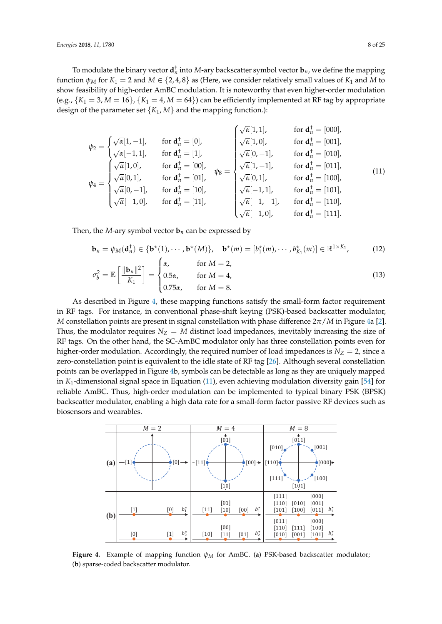To modulate the binary vector  $\mathbf{d}_n^{\dagger}$  into M-ary backscatter symbol vector  $\mathbf{b}_n$ , we define the mapping function  $\psi_M$  for  $K_1 = 2$  and  $M \in \{2, 4, 8\}$  as (Here, we consider relatively small values of  $K_1$  and M to show feasibility of high-order AmBC modulation. It is noteworthy that even higher-order modulation (e.g.,  $\{K_1 = 3, M = 16\}$ ,  $\{K_1 = 4, M = 64\}$ ) can be efficiently implemented at RF tag by appropriate design of the parameter set  ${K_1, M}$  and the mapping function.):

<span id="page-7-1"></span>
$$
\psi_2 = \begin{cases}\n\sqrt{\alpha}[1, -1], & \text{for } \mathbf{d}_n^+ = [0], \\
\sqrt{\alpha}[-1, 1], & \text{for } \mathbf{d}_n^+ = [1], \\
\sqrt{\alpha}[0, 1], & \text{for } \mathbf{d}_n^+ = [00], \\
\sqrt{\alpha}[0, 1], & \text{for } \mathbf{d}_n^+ = [00], \\
\sqrt{\alpha}[0, -1], & \text{for } \mathbf{d}_n^+ = [00], \\
\sqrt{\alpha}[0, -1], & \text{for } \mathbf{d}_n^+ = [10], \\
\sqrt{\alpha}[-1, 0], & \text{for } \mathbf{d}_n^+ = [10], \\
\sqrt{\alpha}[-1, 0], & \text{for } \mathbf{d}_n^+ = [11], \\
\sqrt{\alpha}[-1, -1], & \text{for } \mathbf{d}_n^+ = [100], \\
\sqrt{\alpha}[-1, -1], & \text{for } \mathbf{d}_n^+ = [101], \\
\sqrt{\alpha}[-1, -1], & \text{for } \mathbf{d}_n^+ = [101], \\
\sqrt{\alpha}[-1, -1], & \text{for } \mathbf{d}_n^+ = [110], \\
\sqrt{\alpha}[-1, 0], & \text{for } \mathbf{d}_n^+ = [111].\n\end{cases}
$$
\n(11)

Then, the *M*-ary symbol vector  $\mathbf{b}_n$  can be expressed by

<span id="page-7-2"></span>
$$
\mathbf{b}_n = \psi_M(\mathbf{d}_n^{\dagger}) \in \{\mathbf{b}^{\star}(1), \cdots, \mathbf{b}^{\star}(M)\}, \quad \mathbf{b}^{\star}(m) = [b_1^{\star}(m), \cdots, b_{K_1}^{\star}(m)] \in \mathbb{R}^{1 \times K_1}, \tag{12}
$$

$$
\sigma_b^2 = \mathbb{E}\left[\frac{\|\mathbf{b}_n\|^2}{K_1}\right] = \begin{cases} \alpha, & \text{for } M = 2, \\ 0.5\alpha, & \text{for } M = 4, \\ 0.75\alpha, & \text{for } M = 8. \end{cases} \tag{13}
$$

As described in Figure [4,](#page-7-0) these mapping functions satisfy the small-form factor requirement in RF tags. For instance, in conventional phase-shift keying (PSK)-based backscatter modulator, *M* constellation points are present in signal constellation with phase difference 2*π*/*M* in Figure [4a](#page-7-0) [\[2\]](#page-21-1). Thus, the modulator requires  $N_Z = M$  distinct load impedances, inevitably increasing the size of RF tags. On the other hand, the SC-AmBC modulator only has three constellation points even for higher-order modulation. Accordingly, the required number of load impedances is  $N_Z = 2$ , since a zero-constellation point is equivalent to the idle state of RF tag [\[26\]](#page-22-15). Although several constellation points can be overlapped in Figure [4b](#page-7-0), symbols can be detectable as long as they are uniquely mapped in *K*1-dimensional signal space in Equation [\(11\)](#page-7-1), even achieving modulation diversity gain [\[54\]](#page-23-20) for reliable AmBC. Thus, high-order modulation can be implemented to typical binary PSK (BPSK) backscatter modulator, enabling a high data rate for a small-form factor passive RF devices such as biosensors and wearables.

<span id="page-7-0"></span>

**Figure 4.** Example of mapping function *ψ<sup>M</sup>* for AmBC. (**a**) PSK-based backscatter modulator; (**b**) sparse-coded backscatter modulator.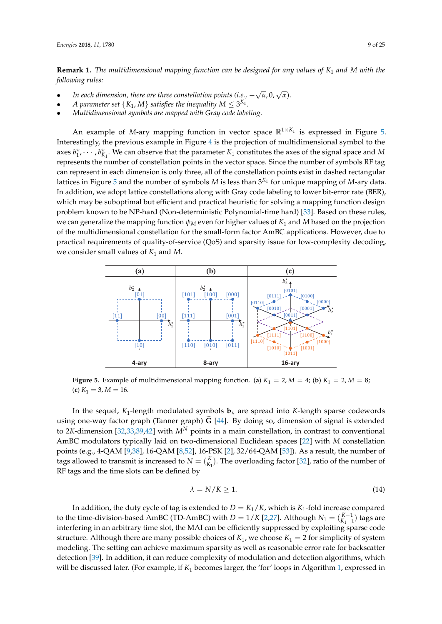**Remark 1.** *The multidimensional mapping function can be designed for any values of K*<sup>1</sup> *and M with the following rules:*

- **•** In each dimension, there are three constellation points (i.e.,  $-\sqrt{\alpha}$ , 0,  $\sqrt{\alpha}$ ).
- A parameter set  $\{K_1, M\}$  satisfies the inequality  $M \leq 3^{K_1}$ .
- *Multidimensional symbols are mapped with Gray code labeling.*

An example of *M*-ary mapping function in vector space  $\mathbb{R}^{1\times K_1}$  is expressed in Figure [5.](#page-8-0) Interestingly, the previous example in Figure [4](#page-7-0) is the projection of multidimensional symbol to the axes  $b_1^*, \dots, b_{K_1}^*$ . We can observe that the parameter  $K_1$  constitutes the axes of the signal space and *M* represents the number of constellation points in the vector space. Since the number of symbols RF tag can represent in each dimension is only three, all of the constellation points exist in dashed rectangular lattices in Figure [5](#page-8-0) and the number of symbols *M* is less than 3 *<sup>K</sup>*<sup>1</sup> for unique mapping of *M*-ary data. In addition, we adopt lattice constellations along with Gray code labeling to lower bit-error rate (BER), which may be suboptimal but efficient and practical heuristic for solving a mapping function design problem known to be NP-hard (Non-deterministic Polynomial-time hard) [\[33\]](#page-23-0). Based on these rules, we can generalize the mapping function  $\psi_M$  even for higher values of  $K_1$  and  $M$  based on the projection of the multidimensional constellation for the small-form factor AmBC applications. However, due to practical requirements of quality-of-service (QoS) and sparsity issue for low-complexity decoding, we consider small values of *K*<sup>1</sup> and *M*.

<span id="page-8-0"></span>

**Figure 5.** Example of multidimensional mapping function. (a)  $K_1 = 2$ ,  $M = 4$ ; (b)  $K_1 = 2$ ,  $M = 8$ ;  $(k) K_1 = 3, M = 16.$ 

In the sequel,  $K_1$ -length modulated symbols  $\mathbf{b}_n$  are spread into K-length sparse codewords using one-way factor graph (Tanner graph)  $\tilde{G}$  [\[44\]](#page-23-10). By doing so, dimension of signal is extended to 2*K*-dimension [\[32](#page-22-21)[,33](#page-23-0)[,39](#page-23-6)[,42\]](#page-23-9) with *M<sup>N</sup>* points in a main constellation, in contrast to conventional AmBC modulators typically laid on two-dimensional Euclidean spaces [\[22\]](#page-22-11) with *M* constellation points (e.g., 4-QAM [\[9,](#page-22-0)[38\]](#page-23-5), 16-QAM [\[8](#page-21-7)[,52\]](#page-23-18), 16-PSK [\[2\]](#page-21-1), 32/64-QAM [\[53\]](#page-23-19)). As a result, the number of tags allowed to transmit is increased to  $N = {K \choose K_1}$ . The overloading factor [\[32\]](#page-22-21), ratio of the number of RF tags and the time slots can be defined by

$$
\lambda = N/K \ge 1. \tag{14}
$$

In addition, the duty cycle of tag is extended to  $D = K_1/K$ , which is  $K_1$ -fold increase compared to the time-division-based AmBC (TD-AmBC) with  $D = 1/K$  [\[2](#page-21-1)[,27\]](#page-22-16). Although  $N_1 = {K-1 \choose K_1-1}$  tags are interfering in an arbitrary time slot, the MAI can be efficiently suppressed by exploiting sparse code structure. Although there are many possible choices of  $K_1$ , we choose  $K_1 = 2$  for simplicity of system modeling. The setting can achieve maximum sparsity as well as reasonable error rate for backscatter detection [\[39\]](#page-23-6). In addition, it can reduce complexity of modulation and detection algorithms, which will be discussed later. (For example, if *K*<sup>1</sup> becomes larger, the 'for' loops in Algorithm [1,](#page-9-0) expressed in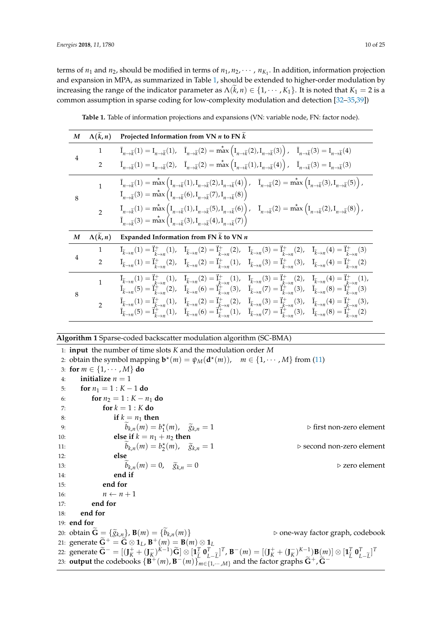terms of  $n_1$  and  $n_2$ , should be modified in terms of  $n_1, n_2, \dots, n_{K_1}$ . In addition, information projection and expansion in MPA, as summarized in Table [1,](#page-9-1) should be extended to higher-order modulation by increasing the range of the indicator parameter as  $\Lambda(k, n) \in \{1, \dots, K_1\}$ . It is noted that  $K_1 = 2$  is a common assumption in sparse coding for low-complexity modulation and detection [\[32–](#page-22-21)[35](#page-23-2)[,39\]](#page-23-6))

<span id="page-9-1"></span>

| M              | $\Lambda(\tilde{k},n)$  | Projected Information from VN $n$ to FN $\tilde{k}$                                                                                                                                                                                                                                                                                                                                                                                                                                                                                                                                                                                         |  |  |  |
|----------------|-------------------------|---------------------------------------------------------------------------------------------------------------------------------------------------------------------------------------------------------------------------------------------------------------------------------------------------------------------------------------------------------------------------------------------------------------------------------------------------------------------------------------------------------------------------------------------------------------------------------------------------------------------------------------------|--|--|--|
| $\overline{4}$ | 1                       | $\overline{I}_{n\to \widetilde{k}}(1) = I_{n\to \widetilde{k}}(1), \quad \overline{I}_{n\to \widetilde{k}}(2) = \max_{\alpha} \left( I_{n\to \widetilde{k}}(2), I_{n\to \widetilde{k}}(3) \right), \quad \overline{I}_{n\to \widetilde{k}}(3) = I_{n\to \widetilde{k}}(4)$                                                                                                                                                                                                                                                                                                                                                                  |  |  |  |
|                | $\overline{2}$          | $\overline{I}_{n\to\widetilde{k}}(1) = I_{n\to\widetilde{k}}(2), \quad \overline{I}_{n\to\widetilde{k}}(2) = \max^{\star} \left( I_{n\to\widetilde{k}}(1), I_{n\to\widetilde{k}}(4) \right), \quad \overline{I}_{n\to\widetilde{k}}(3) = I_{n\to\widetilde{k}}(3)$                                                                                                                                                                                                                                                                                                                                                                          |  |  |  |
| 8              | $\mathbf{1}$            | $\overline{I}_{n \to \widetilde{k}}(1) = \max^{\star} \left( I_{n \to \widetilde{k}}(1), I_{n \to \widetilde{k}}(2), I_{n \to \widetilde{k}}(4) \right), \quad \overline{I}_{n \to \widetilde{k}}(2) = \max^{\star} \left( I_{n \to \widetilde{k}}(3), I_{n \to \widetilde{k}}(5) \right),$<br>$\overline{I}_{n\to\widetilde{k}}(3)=\max_{\mu\to\widetilde{k}}\left(I_{n\to\widetilde{k}}(6),I_{n\to\widetilde{k}}(7),I_{n\to\widetilde{k}}(8)\right)$                                                                                                                                                                                      |  |  |  |
|                | $\overline{2}$          | $\overline{I}_{n\to\tilde{k}}(1) = \max^{\star} \left( I_{n\to\tilde{k}}(1), I_{n\to\tilde{k}}(5), I_{n\to\tilde{k}}(6) \right), \quad \overline{I}_{n\to\tilde{k}}(2) = \max^{\star} \left( I_{n\to\tilde{k}}(2), I_{n\to\tilde{k}}(8) \right),$<br>$\overline{I}_{n\to \widetilde{k}}(3) = \max_{\alpha} \left( I_{n\to \widetilde{k}}(3), I_{n\to \widetilde{k}}(4), I_{n\to \widetilde{k}}(7) \right)$                                                                                                                                                                                                                                  |  |  |  |
|                |                         |                                                                                                                                                                                                                                                                                                                                                                                                                                                                                                                                                                                                                                             |  |  |  |
| M              | $\Lambda(\tilde{k}, n)$ | Expanded Information from FN $\widetilde{k}$ to VN $n$                                                                                                                                                                                                                                                                                                                                                                                                                                                                                                                                                                                      |  |  |  |
|                | 1                       | $\overline{I}_{\widetilde{k}\to n}(1)=\vec{I}_{\widetilde{k}\to n}^{+}(1),\quad \overline{I}_{\widetilde{k}\to n}(2)=\vec{I}_{\widetilde{k}\to n}^{+}(2),\quad \overline{I}_{\widetilde{k}\to n}(3)=\vec{I}_{\widetilde{k}\to n}^{+}(2),\quad \overline{I}_{\widetilde{k}\to n}(4)=\vec{I}_{\widetilde{k}\to n}^{+}(3)$                                                                                                                                                                                                                                                                                                                     |  |  |  |
| $\overline{4}$ | $\overline{2}$          | $\overline{I}_{\widetilde{k}\to n}(1) = \overline{I}_{\widetilde{k}\to n}^+(2)$ , $\overline{I}_{\widetilde{k}\to n}(2) = \overline{I}_{\widetilde{k}\to n}^+(1)$ , $\overline{I}_{\widetilde{k}\to n}(3) = \overline{I}_{\widetilde{k}\to n}^+(3)$ , $\overline{I}_{\widetilde{k}\to n}(4) = \overline{I}_{\widetilde{k}\to n}^+(2)$                                                                                                                                                                                                                                                                                                       |  |  |  |
| 8              | $\mathbf{1}$            | $\overline{I}_{\tilde{k}\to n}(1) = \overline{I}_{\tilde{k}\to n}^+(1)$ , $\overline{I}_{\tilde{k}\to n}(2) = \overline{I}_{\tilde{k}\to n}^+(1)$ , $\overline{I}_{\tilde{k}\to n}(3) = \overline{I}_{\tilde{k}\to n}^+(2)$ , $\overline{I}_{\tilde{k}\to n}(4) = \overline{I}_{\tilde{k}\to n}^+(1)$ ,<br>$\overline{I}_{\widetilde{k}\to n}(5)=\overline{I}_{\widetilde{k}\to n}^{+}(2),\quad \overline{I}_{\widetilde{k}\to n}(6)=\overline{I}_{\widetilde{k}\to n}^{+}(3),\quad \overline{I}_{\widetilde{k}\to n}(7)=\overline{I}_{\widetilde{k}}^{+}$ (3), $\overline{I}_{\widetilde{k}\to n}(8)=\overline{I}_{\widetilde{k}}^{+}$ (3) |  |  |  |

**Table 1.** Table of information projections and expansions (VN: variable node, FN: factor node).

# <span id="page-9-0"></span>**Algorithm 1** Sparse-coded backscatter modulation algorithm (SC-BMA)

1: **input** the number of time slots *K* and the modulation order *M* 2: obtain the symbol mapping  $\mathbf{b}^*(m) = \psi_M(\mathbf{d}^*(m))$ ,  $m \in \{1, \dots, M\}$  from [\(11\)](#page-7-1) 3: **for**  $m \in \{1, \cdots, M\}$  **do** 4: **initialize**  $n = 1$ 5: **for**  $n_1 = 1 : K - 1$  **do** 6: **for**  $n_2 = 1 : K - n_1$  **do** 7: **for**  $k = 1 : K$  **do** 8: **if**  $k = n_1$  **then** 9:  $\widetilde{b}_{k,n}(m) = b_1^*$ (*m*), *<sup>g</sup>*e*k*,*<sup>n</sup>* <sup>=</sup> <sup>1</sup> . first non-zero element 10: **else if**  $k = n_1 + n_2$  **then** 11:  $\widetilde{b}_{k,n}(m) = b_2^*$ (*m*), *<sup>g</sup>*e*k*,*<sup>n</sup>* <sup>=</sup> <sup>1</sup> . second non-zero element 12: **else** 13:  $\widetilde{b}_{k,n}(m) = 0$ ,  $\widetilde{g}_{k,n} = 0$  .  $\geq$  zero element ... end if 15: **end for** 16:  $n \leftarrow n+1$ 17: **end for** 18: **end for** 19: **end for** 20: obtain  $\widetilde{\mathbf{G}} = {\{\widetilde{g}_{k,n}\}, \mathbf{B}(m) = {\{\widetilde{b}_{k,n}(m)\}}$  .  $\triangleright$  one-way factor graph, codebook 21: generate  $\widetilde{G}^+ = \widetilde{G} \otimes \mathbf{1}_L$ ,  $B^+(m) = B(m) \otimes \mathbf{1}_L$ 22. generate  $\widetilde{\mathbf{G}}^{-} = [(\mathbf{J}_K^+ + (\mathbf{J}_K^-)^{K-1})\widetilde{\mathbf{G}}] \otimes [\mathbf{1}_L^T \mathbf{0}_{L-\widetilde{L}}^T]^T$ ,  $\mathbf{B}^{-}(m) = [(\mathbf{J}_K^+ + (\mathbf{J}_K^-)^{K-1})\mathbf{B}(m)] \otimes [\mathbf{1}_L^T \mathbf{0}_{L-\widetilde{L}}^T]^T$ 23: **output** the codebooks  ${\bf B}^+(m)$ ,  ${\bf B}^-(m)$ }<sub>*m*∈{1,…,*M*}</sub> and the factor graphs  ${\bf \tilde{G}}^+$ ,  ${\bf \tilde{G}}^ \sum_{L}^{T}$  **0**<sup>*T*</sup><sub>*L*</sub>  $\left[ \begin{matrix} T \\ L-\widetilde{L} \end{matrix} \right]^T$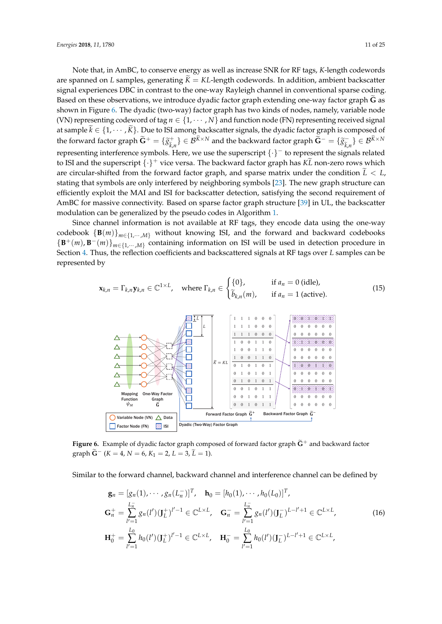Note that, in AmBC, to conserve energy as well as increase SNR for RF tags, *K*-length codewords are spanned on *L* samples, generating  $\tilde{K} = KL$ -length codewords. In addition, ambient backscatter signal experiences DBC in contrast to the one-way Rayleigh channel in conventional sparse coding. Based on these observations, we introduce dyadic factor graph extending one-way factor graph G as shown in Figure [6.](#page-10-0) The dyadic (two-way) factor graph has two kinds of nodes, namely, variable node (VN) representing codeword of tag  $n \in \{1, \cdots, N\}$  and function node (FN) representing received signal at sample  $k \in \{1, \dots, K\}$ . Due to ISI among backscatter signals, the dyadic factor graph is composed of the forward factor graph  $\widetilde{\mathbf{G}}^+ = \{ \widetilde{\mathcal{S}}_{\widetilde{k}, \widetilde{h}}^+ \}$  $\{\widetilde{k}, n\}$  ∈  $\mathcal{B}^{\widetilde{K}\times N}$  and the backward factor graph  $\widetilde{\mathbf{G}}^{-} = \{\widetilde{\mathcal{S}}_{\widetilde{k}, n}^{-}\}$ e*k*,*n*  $\} \in \mathcal{B}^{K \times N}$ representing interference symbols. Here, we use the superscript {·}<sup>−</sup> to represent the signals related to ISI and the superscript  $\{\cdot\}^+$  vice versa. The backward factor graph has  $K\tilde{L}$  non-zero rows which are circular-shifted from the forward factor graph, and sparse matrix under the condition  $\tilde{L} < L$ , stating that symbols are only interfered by neighboring symbols [\[23\]](#page-22-12). The new graph structure can efficiently exploit the MAI and ISI for backscatter detection, satisfying the second requirement of AmBC for massive connectivity. Based on sparse factor graph structure [\[39\]](#page-23-6) in UL, the backscatter modulation can be generalized by the pseudo codes in Algorithm [1.](#page-9-0)

Since channel information is not available at RF tags, they encode data using the one-way codebook  ${\bf B}(m)$ <sub>*m*∈{1,…,*M*} without knowing ISI, and the forward and backward codebooks</sub>  ${B^+(m), B^-(m)}_{m \in \{1,...,M\}}$  containing information on ISI will be used in detection procedure in Section [4.](#page-12-0) Thus, the reflection coefficients and backscattered signals at RF tags over *L* samples can be represented by

$$
\mathbf{x}_{k,n} = \Gamma_{k,n} \mathbf{y}_{k,n} \in \mathbb{C}^{1 \times L}, \quad \text{where } \Gamma_{k,n} \in \begin{cases} \{0\}, & \text{if } a_n = 0 \text{ (idle)},\\ \tilde{b}_{k,n}(m), & \text{if } a_n = 1 \text{ (active)}. \end{cases} \tag{15}
$$

<span id="page-10-0"></span>

**Figure 6.** Example of dyadic factor graph composed of forward factor graph  $\widetilde{G}^+$  and backward factor graph  $\widetilde{G}^{-}(K = 4, N = 6, K_1 = 2, L = 3, \widetilde{L} = 1).$ 

Similar to the forward channel, backward channel and interference channel can be defined by

<span id="page-10-1"></span>
$$
\mathbf{g}_n = [g_n(1), \cdots, g_n(L_n^-)]^T, \quad \mathbf{h}_0 = [h_0(1), \cdots, h_0(L_0)]^T,
$$
  
\n
$$
\mathbf{G}_n^+ = \sum_{l'=1}^{L_n^-} g_n(l')(J_L^+)^{l'-1} \in \mathbb{C}^{L \times L}, \quad \mathbf{G}_n^- = \sum_{l'=1}^{L_n^-} g_n(l')(J_L^-)^{L-l'+1} \in \mathbb{C}^{L \times L},
$$
  
\n
$$
\mathbf{H}_0^+ = \sum_{l'=1}^{L_0} h_0(l')(J_L^+)^{l'-1} \in \mathbb{C}^{L \times L}, \quad \mathbf{H}_0^- = \sum_{l'=1}^{L_0} h_0(l')(J_L^-)^{L-l'+1} \in \mathbb{C}^{L \times L},
$$
\n(16)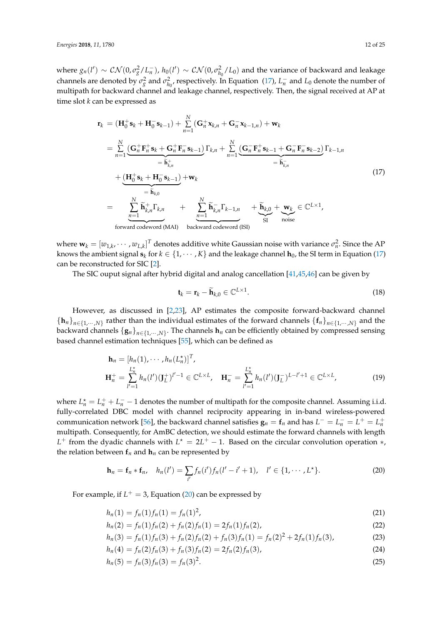where  $g_n(l') \sim \mathcal{CN}(0, \sigma_g^2/L_n^-)$ ,  $h_0(l') \sim \mathcal{CN}(0, \sigma_{h_0}^2/L_0)$  and the variance of backward and leakage channels are denoted by  $\sigma_g^2$  and  $\sigma_{h_0}^2$ , respectively. In Equation [\(17\)](#page-10-1),  $L_n^-$  and  $L_0$  denote the number of multipath for backward channel and leakage channel, respectively. Then, the signal received at AP at time slot *k* can be expressed as

<span id="page-11-0"></span>
$$
\mathbf{r}_{k} = (\mathbf{H}_{0}^{+} \mathbf{s}_{k} + \mathbf{H}_{0}^{-} \mathbf{s}_{k-1}) + \sum_{n=1}^{N} (\mathbf{G}_{n}^{+} \mathbf{x}_{k,n} + \mathbf{G}_{n}^{-} \mathbf{x}_{k-1,n}) + \mathbf{w}_{k}
$$
\n
$$
= \sum_{n=1}^{N} (\mathbf{G}_{n}^{+} \mathbf{F}_{n}^{+} \mathbf{s}_{k} + \mathbf{G}_{n}^{+} \mathbf{F}_{n}^{-} \mathbf{s}_{k-1}) \Gamma_{k,n} + \sum_{n=1}^{N} (\mathbf{G}_{n}^{-} \mathbf{F}_{n}^{+} \mathbf{s}_{k-1} + \mathbf{G}_{n}^{-} \mathbf{F}_{n}^{-} \mathbf{s}_{k-2}) \Gamma_{k-1,n}
$$
\n
$$
+ (\mathbf{H}_{0}^{+} \mathbf{s}_{k} + \mathbf{H}_{0}^{-} \mathbf{s}_{k-1}) + \mathbf{w}_{k}
$$
\n
$$
= \sum_{n=1}^{N} \widetilde{\mathbf{h}}_{k,n}^{+} \Gamma_{k,n} + \sum_{n=1}^{N} \widetilde{\mathbf{h}}_{k,n}^{-} \Gamma_{k-1,n} + \widetilde{\mathbf{h}}_{k,0} + \mathbf{w}_{k} \in \mathbb{C}^{L \times 1},
$$
\nforward codeword (MAI) backward codeword (ISI)

where  $\mathbf{w}_k = [w_{1,k}, \cdots, w_{L,k}]^T$  denotes additive white Gaussian noise with variance  $\sigma_n^2$ . Since the AP knows the ambient signal  $\mathbf{s}_k$  for  $k \in \{1, \cdots, K\}$  and the leakage channel  $\mathbf{h}_0$ , the SI term in Equation [\(17\)](#page-11-0) can be reconstructed for SIC [\[2\]](#page-21-1).

The SIC ouput signal after hybrid digital and analog cancellation [\[41](#page-23-8)[,45](#page-23-11)[,46\]](#page-23-12) can be given by

<span id="page-11-3"></span>
$$
\mathbf{t}_{k} = \mathbf{r}_{k} - \widetilde{\mathbf{h}}_{k,0} \in \mathbb{C}^{L \times 1}.
$$
 (18)

However, as discussed in [\[2,](#page-21-1)[23\]](#page-22-12), AP estimates the composite forward-backward channel  ${\{\mathbf{h}_n\}}_{n \in \{1,\dots,N\}}$  rather than the individual estimates of the forward channels  ${\{\mathbf{f}_n\}}_{n \in \{1,\dots,N\}}$  and the backward channels  $\{{\bf g}_n\}_{n\in\{1,\cdots,N\}}.$  The channels  ${\bf h}_n$  can be efficiently obtained by compressed sensing based channel estimation techniques [\[55\]](#page-23-21), which can be defined as

$$
\mathbf{h}_{n} = [h_{n}(1), \cdots, h_{n}(L_{n}^{*})]^{T},
$$
  
\n
$$
\mathbf{H}_{n}^{+} = \sum_{l'=1}^{L_{n}^{*}} h_{n}(l')(J_{L}^{+})^{l'-1} \in \mathbb{C}^{L \times L}, \quad \mathbf{H}_{n}^{-} = \sum_{l'=1}^{L_{n}^{*}} h_{n}(l')(J_{L}^{-})^{L-l'+1} \in \mathbb{C}^{L \times L},
$$
\n(19)

where  $L_n^* = L_n^+ + L_n^- - 1$  denotes the number of multipath for the composite channel. Assuming i.i.d. fully-correlated DBC model with channel reciprocity appearing in in-band wireless-powered communication network [\[56\]](#page-24-0), the backward channel satisfies  $\mathbf{g}_n = \mathbf{f}_n$  and has  $L^- = L_n^- = L^+ = L_n^+$ multipath. Consequently, for AmBC detection, we should estimate the forward channels with length  $L^+$  from the dyadic channels with  $L^* = 2L^+ - 1$ . Based on the circular convolution operation  $*,$ the relation between  $f_n$  and  $h_n$  can be represented by

<span id="page-11-1"></span>
$$
\mathbf{h}_n = \mathbf{f}_n * \mathbf{f}_n, \quad h_n(l') = \sum_{i'} f_n(i') f_n(l'-i'+1), \quad l' \in \{1, \cdots, L^*\}.
$$
 (20)

For example, if  $L^+ = 3$ , Equation [\(20\)](#page-11-1) can be expressed by

<span id="page-11-2"></span>
$$
h_n(1) = f_n(1)f_n(1) = f_n(1)^2,
$$
\n(21)

$$
h_n(2) = f_n(1)f_n(2) + f_n(2)f_n(1) = 2f_n(1)f_n(2),
$$
\n(22)

$$
h_n(3) = f_n(1)f_n(3) + f_n(2)f_n(2) + f_n(3)f_n(1) = f_n(2)^2 + 2f_n(1)f_n(3),
$$
\n(23)

$$
h_n(4) = f_n(2)f_n(3) + f_n(3)f_n(2) = 2f_n(2)f_n(3),
$$
\n(24)

$$
h_n(5) = f_n(3) f_n(3) = f_n(3)^2.
$$
\n(25)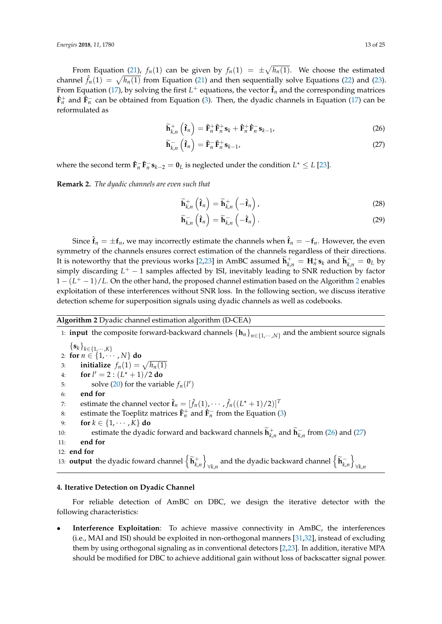From Equation [\(21\)](#page-11-2),  $f_n(1)$  can be given by  $f_n(1) = \pm \sqrt{h_n(1)}$ . We choose the estimated channel  $\hat{f}_n(1) = \sqrt{h_n(1)}$  from Equation [\(21\)](#page-11-2) and then sequentially solve Equations [\(22\)](#page-11-2) and [\(23\)](#page-11-2). From Equation [\(17\)](#page-11-0), by solving the first  $L^+$  equations, the vector  $\hat{\mathbf{f}}_n$  and the corresponding matrices  $\hat{\mathbf{F}}_n^+$  and  $\hat{\mathbf{F}}_n^-$  can be obtained from Equation [\(3\)](#page-5-3). Then, the dyadic channels in Equation [\(17\)](#page-11-0) can be reformulated as

<span id="page-12-2"></span>
$$
\widetilde{\mathbf{h}}_{k,n}^+\left(\hat{\mathbf{f}}_n\right) = \hat{\mathbf{F}}_n^+\hat{\mathbf{F}}_n^+\mathbf{s}_k + \hat{\mathbf{F}}_n^+\hat{\mathbf{F}}_n^-\mathbf{s}_{k-1},\tag{26}
$$

$$
\widetilde{\mathbf{h}}_{k,n}^{-}\left(\hat{\mathbf{f}}_{n}\right)=\hat{\mathbf{F}}_{n}^{-}\hat{\mathbf{F}}_{n}^{+}\mathbf{s}_{k-1},\tag{27}
$$

where the second term  $\hat{\mathbf{F}}_{n}^{-} \hat{\mathbf{F}}_{n}^{-} \mathbf{s}_{k-2} = \mathbf{0}_{L}$  is neglected under the condition  $L^* \leq L$  [\[23\]](#page-22-12).

**Remark 2.** *The dyadic channels are even such that*

$$
\widetilde{\mathbf{h}}_{k,n}^+\left(\hat{\mathbf{f}}_n\right)=\widetilde{\mathbf{h}}_{k,n}^+\left(-\hat{\mathbf{f}}_n\right),\tag{28}
$$

$$
\widetilde{\mathbf{h}}_{k,n}^{-}\left(\hat{\mathbf{f}}_{n}\right)=\widetilde{\mathbf{h}}_{k,n}^{-}\left(-\hat{\mathbf{f}}_{n}\right).
$$
\n(29)

Since  $\hat{\mathbf{f}}_n = \pm \mathbf{f}_n$ , we may incorrectly estimate the channels when  $\hat{\mathbf{f}}_n = -\mathbf{f}_n$ . However, the even symmetry of the channels ensures correct estimation of the channels regardless of their directions. It is noteworthy that the previous works [\[2](#page-21-1)[,23\]](#page-22-12) in AmBC assumed  $\tilde{\mathbf{h}}_{k,n}^+ = \mathbf{H}_n^+ \mathbf{s}_k$  and  $\tilde{\mathbf{h}}_{k,n}^- = \mathbf{0}_L$  by simply discarding *L*<sup>+</sup> − 1 samples affected by ISI, inevitably leading to SNR reduction by factor 1 –  $(L<sup>+</sup> – 1)/L$ . On the other hand, the proposed channel estimation based on the Algorithm [2](#page-12-1) enables exploitation of these interferences without SNR loss. In the following section, we discuss iterative detection scheme for superposition signals using dyadic channels as well as codebooks.

## <span id="page-12-1"></span>**Algorithm 2** Dyadic channel estimation algorithm (D-CEA)

1: **input** the composite forward-backward channels {**h***n*}*n*∈{1,··· ,*N*} and the ambient source signals  $\{{\bf s}_k\}_{k\in\{1,\cdots,K\}}$ 2: **for**  $n \in \{1, \cdots, N\}$  **do** 3: **initialize**  $f_n(1) = \sqrt{h_n(1)}$ 4: **for**  $l' = 2$  :  $(L^* + 1)/2$  do 5: solve [\(20\)](#page-11-1) for the variable  $f_n(l')$ 6: **end for** 7: estimate the channel vector  $\hat{\mathbf{f}}_n = [\hat{f}_n(1), \cdots, \hat{f}_n((L^*+1)/2)]^T$ 8: estimate the Toeplitz matrices  $\hat{\mathbf{F}}_n^+$  and  $\hat{\mathbf{F}}_n^-$  from the Equation [\(3\)](#page-5-3) 9: **for**  $k \in \{1, \cdots, K\}$  **do** 10: estimate the dyadic forward and backward channels  $\widetilde{\mathbf{h}}_{k,n}^+$  and  $\widetilde{\mathbf{h}}_{k,n}^-$  from [\(26\)](#page-12-2) and [\(27\)](#page-12-2) 11: **end for** 12: **end for** 13: **output** the dyadic foward channel  $\left\{ \widetilde{\mathbf{h}}_{k,n}^{+} \right\}$  $\forall$ *k*,*n*</sub> and the dyadic backward channel  $\left\{ \widetilde{\mathbf{h}}_{k,n}^{-} \right\}$ ∀*k*,*n*

#### <span id="page-12-0"></span>**4. Iterative Detection on Dyadic Channel**

For reliable detection of AmBC on DBC, we design the iterative detector with the following characteristics:

• **Interference Exploitation**: To achieve massive connectivity in AmBC, the interferences (i.e., MAI and ISI) should be exploited in non-orthogonal manners [\[31,](#page-22-20)[32\]](#page-22-21), instead of excluding them by using orthogonal signaling as in conventional detectors [\[2,](#page-21-1)[23\]](#page-22-12). In addition, iterative MPA should be modified for DBC to achieve additional gain without loss of backscatter signal power.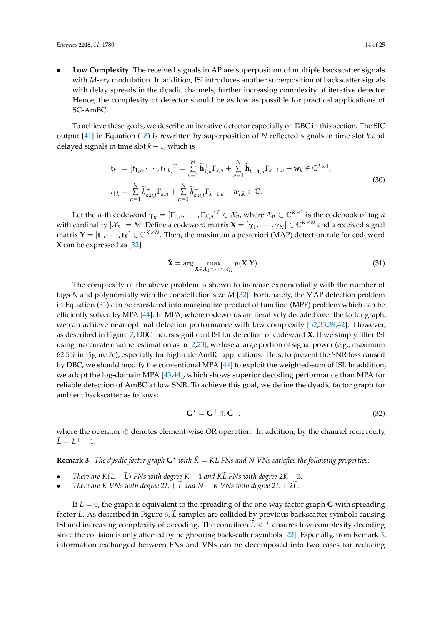• **Low Complexity**: The received signals in AP are superposition of multiple backscatter signals with *M*-ary modulation. In addition, ISI introduces another superposition of backscatter signals with delay spreads in the dyadic channels, further increasing complexity of iterative detector. Hence, the complexity of detector should be as low as possible for practical applications of SC-AmBC.

To achieve these goals, we describe an iterative detector especially on DBC in this section. The SIC output [\[41\]](#page-23-8) in Equation [\(18\)](#page-11-3) is rewritten by superposition of *N* reflected signals in time slot *k* and delayed signals in time slot *k* − 1, which is

$$
\mathbf{t}_{k} = [t_{1,k}, \cdots, t_{L,k}]^{T} = \sum_{n=1}^{N} \widetilde{\mathbf{h}}_{k,n}^{+} \Gamma_{k,n} + \sum_{n=1}^{N} \widetilde{\mathbf{h}}_{k-1,n}^{-} \Gamma_{k-1,n} + \mathbf{w}_{k} \in \mathbb{C}^{L \times 1},
$$
  
\n
$$
t_{l,k} = \sum_{n=1}^{N} \widetilde{h}_{k,n,l}^{+} \Gamma_{k,n} + \sum_{n=1}^{N} \widetilde{h}_{k,n,l}^{-} \Gamma_{k-1,n} + w_{l,k} \in \mathbb{C}.
$$
\n(30)

Let the *n*-th codeword  $\gamma_n = [\Gamma_{1,n}, \cdots, \Gamma_{K,n}]^T \in \mathcal{X}_n$ , where  $\mathcal{X}_n \subset \mathbb{C}^{K \times 1}$  is the codebook of tag *n* with cardinality  $|\mathcal{X}_n|=M$ . Define a codeword matrix  $\bm{X}=[\bm{\gamma}_1,\cdots,\bm{\gamma}_N]\in \mathbb{C}^{K\times N}$  and a received signal matrix  $\mathbf{Y} = [\mathbf{t}_1, \cdots, \mathbf{t}_K] \in \mathbb{C}^{K \times N}$ . Then, the maximum a posteriori (MAP) detection rule for codeword **X** can be expressed as [\[32\]](#page-22-21)

<span id="page-13-0"></span>
$$
\hat{\mathbf{X}} = \arg \max_{\mathbf{X} \in \mathcal{X}_1 \times \dots \times \mathcal{X}_N} p(\mathbf{X}|\mathbf{Y}).
$$
\n(31)

The complexity of the above problem is shown to increase exponentially with the number of tags *N* and polynomially with the constellation size *M* [\[32\]](#page-22-21). Fortunately, the MAP detection problem in Equation [\(31\)](#page-13-0) can be translated into marginalize product of function (MPF) problem which can be efficiently solved by MPA [\[44\]](#page-23-10). In MPA, where codewords are iteratively decoded over the factor graph, we can achieve near-optimal detection performance with low complexity [\[32,](#page-22-21)[33,](#page-23-0)[39,](#page-23-6)[42\]](#page-23-9). However, as described in Figure [7,](#page-16-0) DBC incurs significant ISI for detection of codeword **X**. If we simply filter ISI using inaccurate channel estimation as in [\[2,](#page-21-1)[23\]](#page-22-12), we lose a large portion of signal power (e.g., maximum 62.5% in Figure [7c](#page-16-0)), especially for high-rate AmBC applications. Thus, to prevent the SNR loss caused by DBC, we should modify the conventional MPA [\[44\]](#page-23-10) to exploit the weighted-sum of ISI. In addition, we adopt the log-domain MPA [\[43](#page-23-22)[,44\]](#page-23-10), which shows superior decoding performance than MPA for reliable detection of AmBC at low SNR. To achieve this goal, we define the dyadic factor graph for ambient backscatter as follows:

$$
\widetilde{\mathbf{G}}^{\star} = \widetilde{\mathbf{G}}^+ \oplus \widetilde{\mathbf{G}}^-,\tag{32}
$$

where the operator ⊕ denotes element-wise OR operation. In addition, by the channel reciprocity,  $\widetilde{L} = L^+ - 1.$ 

<span id="page-13-1"></span>**Remark 3.** *The dyadic factor graph*  $\widetilde{G}^*$  *with*  $\widetilde{K} = KL$  FNs and N VNs satisfies the following properties:

- *There are*  $K(L \tilde{L})$  *FNs with degree*  $K 1$  *and*  $K\tilde{L}$  *FNs with degree*  $2K 3$ *.*
- *There are K VNs with degree*  $2L + L$  and  $N K$  *VNs with degree*  $2L + 2L$ *.*

If  $\widetilde{L} = 0$ , the graph is equivalent to the spreading of the one-way factor graph **G** with spreading factor *L*. As described in Figure [6,](#page-10-0) *L* samples are collided by previous backscatter symbols causing ISI and increasing complexity of decoding. The condition  $L < L$  ensures low-complexity decoding since the collision is only affected by neighboring backscatter symbols [\[23\]](#page-22-12). Especially, from Remark [3,](#page-13-1) information exchanged between FNs and VNs can be decomposed into two cases for reducing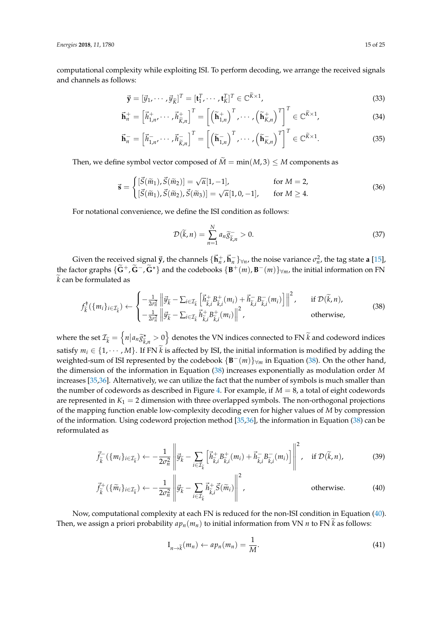computational complexity while exploiting ISI. To perform decoding, we arrange the received signals and channels as follows:

$$
\vec{\mathbf{y}} = [\vec{y}_1, \cdots, \vec{y}_{\tilde{K}}]^T = [\mathbf{t}_1^T, \cdots, \mathbf{t}_K^T]^T \in \mathbb{C}^{\tilde{K} \times 1},
$$
\n(33)

$$
\vec{\mathbf{h}}_{n}^{+} = \left[\vec{h}_{1,n}^{+}, \cdots, \vec{h}_{\tilde{K},n}^{+}\right]^{T} = \left[\left(\widetilde{\mathbf{h}}_{1,n}^{+}\right)^{T}, \cdots, \left(\widetilde{\mathbf{h}}_{K,n}^{+}\right)^{T}\right]^{T} \in \mathbb{C}^{\tilde{K} \times 1},\tag{34}
$$

$$
\vec{\mathbf{h}}_n^- = \begin{bmatrix} \vec{h}_{1,n}^- \cdots \vec{h}_{\widetilde{K},n}^- \end{bmatrix}^T = \begin{bmatrix} \left( \widetilde{\mathbf{h}}_{1,n}^- \right)^T \cdots \left( \widetilde{\mathbf{h}}_{K,n}^- \right)^T \end{bmatrix}^T \in \mathbb{C}^{\widetilde{K} \times 1}.
$$
 (35)

Then, we define symbol vector composed of  $\widetilde{M} = min(M, 3) \le M$  components as

$$
\vec{\mathbf{s}} = \begin{cases} [\vec{S}(\widetilde{m}_1), \vec{S}(\widetilde{m}_2)] = \sqrt{\alpha} [1, -1], & \text{for } M = 2, \\ [\vec{S}(\widetilde{m}_1), \vec{S}(\widetilde{m}_2), \vec{S}(\widetilde{m}_3)] = \sqrt{\alpha} [1, 0, -1], & \text{for } M \ge 4. \end{cases}
$$
(36)

For notational convenience, we define the ISI condition as follows:

$$
\mathcal{D}(\widetilde{k},n) = \sum_{n=1}^{N} a_n \widetilde{g}_{\widetilde{k},n}^- > 0.
$$
\n(37)

Given the received signal  $\vec{y}$ , the channels  $\{\vec{h}_n^+, \vec{h}_n^-\}_{\forall n}$ , the noise variance  $\sigma_n^2$ , the tag state **a** [\[15\]](#page-22-6), the factor graphs  $\{\tilde{G}^+,\tilde{G}^-,\tilde{G}^*\}$  and the codebooks  $\{B^+(m),B^-(m)\}_{\forall m}$ , the initial information on FN  $\widetilde{k}$  can be formulated as

<span id="page-14-0"></span>
$$
f_{\tilde{k}}^{\dagger}(\{m_i\}_{i \in \mathcal{I}_{\tilde{k}}}) \leftarrow \begin{cases} -\frac{1}{2\sigma_n^2} \left\| \vec{y}_{\tilde{k}} - \sum_{i \in \mathcal{I}_{\tilde{k}}} \left[ \vec{h}_{\tilde{k},i}^{\dagger} \vec{B}_{\tilde{k},i}^{\dagger}(m_i) + \vec{h}_{\tilde{k},i}^{\dagger} \vec{B}_{\tilde{k},i}^{\dagger}(m_i) \right] \right\|^2, & \text{if } \mathcal{D}(\tilde{k}, n),\\ -\frac{1}{2\sigma_n^2} \left\| \vec{y}_{\tilde{k}} - \sum_{i \in \mathcal{I}_{\tilde{k}}} \vec{h}_{\tilde{k},i}^{\dagger} \vec{B}_{\tilde{k},i}^{\dagger}(m_i) \right\|^2, & \text{otherwise,} \end{cases}
$$
(38)

where the set  $\mathcal{I}_{\widetilde{k}} = \left\{ n \middle| a_n \widetilde{g}_{\widetilde{k}_n}^{\star} \right\}$  $\left(\frac{\hat{\kappa}}{\hat{k},n}\right) > 0$  denotes the VN indices connected to FN  $\tilde{k}$  and codeword indices satisfy  $m_i \in \{1, \dots, M\}$ . If FN  $\tilde{k}$  is affected by ISI, the initial information is modified by adding the weighted-sum of ISI represented by the codebook {**B** <sup>−</sup>(*m*)}∀*<sup>m</sup>* in Equation [\(38\)](#page-14-0). On the other hand, the dimension of the information in Equation [\(38\)](#page-14-0) increases exponentially as modulation order *M* increases [\[35,](#page-23-2)[36\]](#page-23-3). Alternatively, we can utilize the fact that the number of symbols is much smaller than the number of codewords as described in Figure [4.](#page-7-0) For example, if  $M = 8$ , a total of eight codewords are represented in  $K_1 = 2$  dimension with three overlapped symbols. The non-orthogonal projections of the mapping function enable low-complexity decoding even for higher values of *M* by compression of the information. Using codeword projection method [\[35,](#page-23-2)[36\]](#page-23-3), the information in Equation [\(38\)](#page-14-0) can be reformulated as

<span id="page-14-1"></span>
$$
\vec{f}_{\widetilde{k}}^{-}(\{m_{i}\}_{i\in\mathcal{I}_{\widetilde{k}}}) \leftarrow -\frac{1}{2\sigma_{n}^{2}} \left\| \vec{y}_{\widetilde{k}} - \sum_{i\in\mathcal{I}_{\widetilde{k}}} \left[ \vec{h}_{\widetilde{k},i}^{+} B_{\widetilde{k},i}^{+}(m_{i}) + \vec{h}_{\widetilde{k},i}^{-} B_{\widetilde{k},i}^{-}(m_{i}) \right] \right\|^{2}, \quad \text{if } \mathcal{D}(\widetilde{k},n), \tag{39}
$$

$$
\vec{f}_{\tilde{k}}^+(\{\tilde{m}_i\}_{i\in\mathcal{I}_{\tilde{k}}}) \leftarrow -\frac{1}{2\sigma_n^2} \left\| \vec{y}_{\tilde{k}} - \sum_{i\in\mathcal{I}_{\tilde{k}}}\vec{h}_{\tilde{k},i}^+\vec{S}(\tilde{m}_i) \right\|^2, \qquad \text{otherwise.} \tag{40}
$$

Now, computational complexity at each FN is reduced for the non-ISI condition in Equation [\(40\)](#page-14-1). Then, we assign a priori probability  $a p_n(m_n)$  to initial information from VN *n* to FN *k* as follows:

$$
I_{n\to \widetilde{k}}(m_n) \leftarrow ap_n(m_n) = \frac{1}{M}.
$$
\n(41)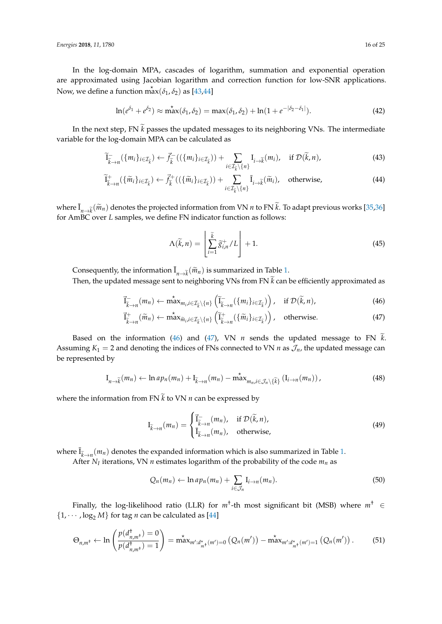In the log-domain MPA, cascades of logarithm, summation and exponential operation are approximated using Jacobian logarithm and correction function for low-SNR applications. Now, we define a function  $\stackrel{*}{max}(\delta_1, \delta_2)$  as [\[43,](#page-23-22)[44\]](#page-23-10)

$$
\ln(e^{\delta_1} + e^{\delta_2}) \approx \max^{\star}(\delta_1, \delta_2) = \max(\delta_1, \delta_2) + \ln(1 + e^{-|\delta_2 - \delta_1|}). \tag{42}
$$

In the next step, FN  $\tilde{k}$  passes the updated messages to its neighboring VNs. The intermediate variable for the log-domain MPA can be calculated as

$$
\widetilde{I}_{\widetilde{k}\to n}^{-}(\{m_i\}_{i\in\mathcal{I}_{\widetilde{k}}}) \leftarrow \vec{f}_{\widetilde{k}}^{-}((\{m_i\}_{i\in\mathcal{I}_{\widetilde{k}}})) + \sum_{i\in\mathcal{I}_{\widetilde{k}}\backslash\{n\}} I_{i\to\widetilde{k}}(m_i), \quad \text{if } \mathcal{D}(\widetilde{k}, n), \tag{43}
$$

$$
\widetilde{I}_{\widetilde{k}\to n}^{+}(\{\widetilde{m}_{i}\}_{i\in\mathcal{I}_{\widetilde{k}}}) \leftarrow \vec{f}_{\widetilde{k}}^{+}((\{\widetilde{m}_{i}\}_{i\in\mathcal{I}_{\widetilde{k}}}) + \sum_{i\in\mathcal{I}_{\widetilde{k}}\setminus\{n\}}\overline{I}_{i\to\widetilde{k}}(\widetilde{m}_{i}), \text{ otherwise,}
$$
\n(44)

where  $\overline{I}_{n\to k}(\widetilde{m}_n)$  denotes the projected information from VN *n* to FN  $\widetilde{k}$ . To adapt previous works [\[35,](#page-23-2)[36\]](#page-23-3) for AmBC over *L* samples, we define FN indicator function as follows:

$$
\Lambda(\widetilde{k}, n) = \left[ \sum_{i=1}^{\widetilde{k}} \widetilde{g}_{i,n}^{+} / L \right] + 1.
$$
\n(45)

Consequently, the information  $\overline{I}_{n\to k}(\widetilde{m}_n)$  is summarized in Table [1.](#page-9-1)

Then, the updated message sent to neighboring VNs from FN  $\widetilde{k}$  can be efficiently approximated as

<span id="page-15-0"></span>
$$
\vec{I}_{\widetilde{k}\to n}^{-}(m_{n}) \leftarrow \max_{m_{i}, i \in \mathcal{I}_{\widetilde{k}} \setminus \{n\}} \left(\widetilde{I}_{\widetilde{k}\to n}^{-}(\{m_{i}\}_{i \in \mathcal{I}_{\widetilde{k}}})\right), \quad \text{if } \mathcal{D}(\widetilde{k}, n), \tag{46}
$$

$$
\vec{I}_{\widetilde{k}\to n}^+(\widetilde{m}_n) \leftarrow \max_{\widetilde{m}_i, i \in \mathcal{I}_{\widetilde{k}} \setminus \{n\}} \left(\widetilde{I}_{\widetilde{k}\to n}^+(\{\widetilde{m}_i\}_{i \in \mathcal{I}_{\widetilde{k}}})\right), \quad \text{otherwise.} \tag{47}
$$

Based on the information [\(46\)](#page-15-0) and [\(47\)](#page-15-0), VN  $n$  sends the updated message to FN  $k$ . Assuming  $K_1 = 2$  and denoting the indices of FNs connected to VN *n* as  $\mathcal{J}_n$ , the updated message can be represented by

$$
\mathcal{I}_{n\to\widetilde{k}}(m_n) \leftarrow \ln ap_n(m_n) + \mathcal{I}_{\widetilde{k}\to n}(m_n) - \max_{m_n,i\in\mathcal{J}_n\backslash\{\widetilde{k}\}} \left(\mathcal{I}_{i\to n}(m_n)\right),\tag{48}
$$

where the information from FN  $\widetilde{k}$  to VN  $n$  can be expressed by

$$
\mathbf{I}_{\widetilde{k}\to n}(m_n) = \begin{cases} \vec{I}_{\widetilde{k}\to n}^-(m_n), & \text{if } \mathcal{D}(\widetilde{k}, n), \\ \vec{I}_{\widetilde{k}\to n}(m_n), & \text{otherwise,} \end{cases}
$$
(49)

where  $\overline{I}_{\vec{k}\to n}(m_n)$  denotes the expanded information which is also summarized in Table [1.](#page-9-1)

After  $N_I$  iterations, VN  $n$  estimates logarithm of the probability of the code  $m_n$  as

$$
Q_n(m_n) \leftarrow \ln ap_n(m_n) + \sum_{i \in \mathcal{J}_n} I_{i \to n}(m_n). \tag{50}
$$

Finally, the log-likelihood ratio (LLR) for *m*† -th most significant bit (MSB) where *m*† ∈  $\{1, \dots, \log_2 M\}$  for tag *n* can be calculated as [\[44\]](#page-23-10)

$$
\Theta_{n,m^{\dagger}} \leftarrow \ln \left( \frac{p(d_{n,m^{\dagger}}^{\dagger}) = 0}{p(d_{n,m^{\dagger}}^{\dagger}) = 1} \right) = \max_{m':d_{m^{\dagger}}^*(m') = 0} \left( Q_n(m') \right) - \max_{m':d_{m^{\dagger}}^*(m') = 1} \left( Q_n(m') \right). \tag{51}
$$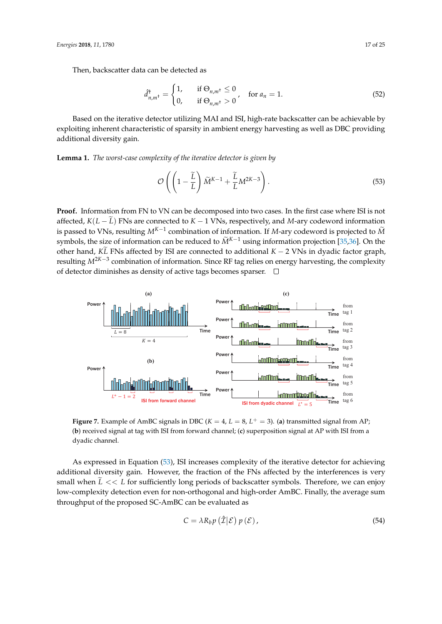Then, backscatter data can be detected as

$$
\hat{d}_{n,m^{\dagger}}^{\dagger} = \begin{cases} 1, & \text{if } \Theta_{n,m^{\dagger}} \le 0 \\ 0, & \text{if } \Theta_{n,m^{\dagger}} > 0 \end{cases}, \quad \text{for } a_n = 1. \tag{52}
$$

Based on the iterative detector utilizing MAI and ISI, high-rate backscatter can be achievable by exploiting inherent characteristic of sparsity in ambient energy harvesting as well as DBC providing additional diversity gain.

**Lemma 1.** *The worst-case complexity of the iterative detector is given by*

<span id="page-16-1"></span>
$$
\mathcal{O}\left(\left(1-\frac{\widetilde{L}}{L}\right)\widetilde{M}^{K-1}+\frac{\widetilde{L}}{L}M^{2K-3}\right).
$$
\n(53)

**Proof.** Information from FN to VN can be decomposed into two cases. In the first case where ISI is not affected,  $K(L - \tilde{L})$  FNs are connected to  $K - 1$  VNs, respectively, and *M*-ary codeword information is passed to VNs, resulting  $M^{K-1}$  combination of information. If *M*-ary codeword is projected to  $\widetilde{M}$ symbols, the size of information can be reduced to  $\widetilde{M}^{K-1}$  using information projection [\[35,](#page-23-2)[36\]](#page-23-3). On the other hand, *K* $\tilde{L}$  FNs affected by ISI are connected to additional *K* − 2 VNs in dyadic factor graph, resulting *M*2*K*−<sup>3</sup> combination of information. Since RF tag relies on energy harvesting, the complexity of detector diminishes as density of active tags becomes sparser.  $\Box$ 

<span id="page-16-0"></span>

**Figure 7.** Example of AmBC signals in DBC ( $K = 4$ ,  $L = 8$ ,  $L^+ = 3$ ). (a) transmitted signal from AP; (**b**) received signal at tag with ISI from forward channel; (**c**) superposition signal at AP with ISI from a dyadic channel.

As expressed in Equation [\(53\)](#page-16-1), ISI increases complexity of the iterative detector for achieving additional diversity gain. However, the fraction of the FNs affected by the interferences is very small when  $\tilde{L} \ll L$  for sufficiently long periods of backscatter symbols. Therefore, we can enjoy low-complexity detection even for non-orthogonal and high-order AmBC. Finally, the average sum throughput of the proposed SC-AmBC can be evaluated as

$$
C = \lambda R_b p\left(\hat{\mathcal{I}}|\mathcal{E}\right) p\left(\mathcal{E}\right),\tag{54}
$$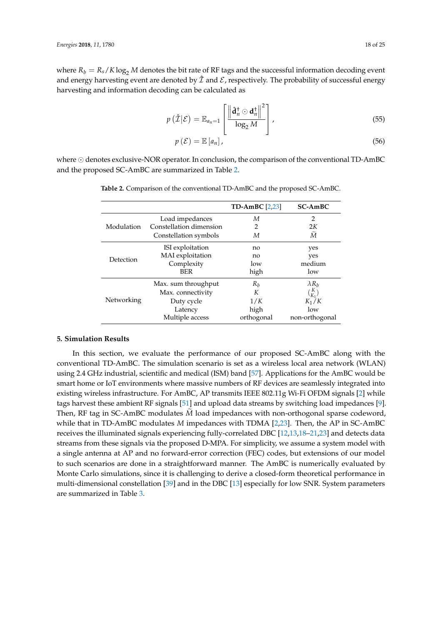where  $R_b = R_s/K \log_2 M$  denotes the bit rate of RF tags and the successful information decoding event and energy harvesting event are denoted by  $\hat{\mathcal{I}}$  and  $\mathcal{E}$ , respectively. The probability of successful energy harvesting and information decoding can be calculated as

$$
p\left(\hat{\mathcal{I}}\big|\mathcal{E}\right) = \mathbb{E}_{a_n=1}\left[\frac{\left\|\hat{\mathbf{d}}_n^{\dagger} \odot \mathbf{d}_n^{\dagger}\right\|^2}{\log_2 M}\right],\tag{55}
$$

$$
p\left(\mathcal{E}\right) = \mathbb{E}\left[a_n\right],\tag{56}
$$

<span id="page-17-1"></span>where  $\odot$  denotes exclusive-NOR operator. In conclusion, the comparison of the conventional TD-AmBC and the proposed SC-AmBC are summarized in Table [2.](#page-17-1)

|            |                         | TD-AmBC $[2,23]$ | <b>SC-AmBC</b>   |
|------------|-------------------------|------------------|------------------|
|            | Load impedances         | М                | $\overline{2}$   |
| Modulation | Constellation dimension | $\overline{2}$   | 2K               |
|            | Constellation symbols   | М                | $\widetilde{M}$  |
|            | ISI exploitation        | no               | yes              |
| Detection  | MAI exploitation        | no               | yes              |
|            | Complexity              | low              | medium           |
|            | <b>BER</b>              | high             | low              |
|            | Max. sum throughput     | $R_h$            | $\lambda R_h$    |
|            | Max. connectivity       | К                | $\binom{K}{K_1}$ |
| Networking | Duty cycle              | 1/K              | $K_1/K$          |
|            | Latency                 | high             | low              |
|            | Multiple access         | orthogonal       | non-orthogonal   |

**Table 2.** Comparison of the conventional TD-AmBC and the proposed SC-AmBC.

## <span id="page-17-0"></span>**5. Simulation Results**

In this section, we evaluate the performance of our proposed SC-AmBC along with the conventional TD-AmBC. The simulation scenario is set as a wireless local area network (WLAN) using 2.4 GHz industrial, scientific and medical (ISM) band [\[57\]](#page-24-1). Applications for the AmBC would be smart home or IoT environments where massive numbers of RF devices are seamlessly integrated into existing wireless infrastructure. For AmBC, AP transmits IEEE 802.11g Wi-Fi OFDM signals [\[2\]](#page-21-1) while tags harvest these ambient RF signals [\[51\]](#page-23-17) and upload data streams by switching load impedances [\[9\]](#page-22-0). Then, RF tag in SC-AmBC modulates *M* load impedances with non-orthogonal sparse codeword, while that in TD-AmBC modulates *M* impedances with TDMA [\[2,](#page-21-1)[23\]](#page-22-12). Then, the AP in SC-AmBC receives the illuminated signals experiencing fully-correlated DBC [\[12,](#page-22-3)[13,](#page-22-4)[18–](#page-22-9)[21,](#page-22-10)[23\]](#page-22-12) and detects data streams from these signals via the proposed D-MPA. For simplicity, we assume a system model with a single antenna at AP and no forward-error correction (FEC) codes, but extensions of our model to such scenarios are done in a straightforward manner. The AmBC is numerically evaluated by Monte Carlo simulations, since it is challenging to derive a closed-form theoretical performance in multi-dimensional constellation [\[39\]](#page-23-6) and in the DBC [\[13\]](#page-22-4) especially for low SNR. System parameters are summarized in Table [3.](#page-18-0)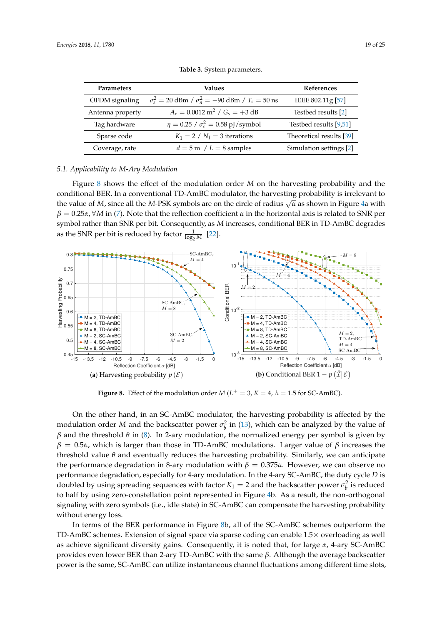<span id="page-18-0"></span>

| Parameters       | <b>Values</b>                                                  | References               |
|------------------|----------------------------------------------------------------|--------------------------|
| OFDM signaling   | $\sigma_s^2 = 20$ dBm / $\sigma_n^2 = -90$ dBm / $T_s = 50$ ns | IEEE 802.11g [57]        |
| Antenna property | $A_e = 0.0012 \text{ m}^2 / G_s = +3 \text{ dB}$               | Testbed results [2]      |
| Tag hardware     | $\eta = 0.25 / \sigma_c^2 = 0.58 \text{ pJ/symbol}$            | Testbed results [9,51]   |
| Sparse code      | $K_1 = 2 / N_I = 3$ iterations                                 | Theoretical results [39] |
| Coverage, rate   | $d = 5$ m / $L = 8$ samples                                    | Simulation settings [2]  |

**Table 3.** System parameters.

#### *5.1. Applicability to M-Ary Modulation*

Figure [8](#page-18-1) shows the effect of the modulation order *M* on the harvesting probability and the conditional BER. In a conventional TD-AmBC modulator, the harvesting probability is irrelevant to the value of *M*, since all the *M*-PSK symbols are on the circle of radius  $\sqrt{\alpha}$  as shown in Figure [4a](#page-7-0) with  $β = 0.25α$ ,  $\forall M$  in [\(7\)](#page-6-3). Note that the reflection coefficient *α* in the horizontal axis is related to SNR per symbol rather than SNR per bit. Consequently, as *M* increases, conditional BER in TD-AmBC degrades as the SNR per bit is reduced by factor  $\frac{1}{\log_2 M}$  [\[22\]](#page-22-11).

<span id="page-18-1"></span>

**Figure 8.** Effect of the modulation order  $M(L^+ = 3, K = 4, \lambda = 1.5$  for SC-AmBC).

On the other hand, in an SC-AmBC modulator, the harvesting probability is affected by the modulation order *M* and the backscatter power  $\sigma_b^2$  in [\(13\)](#page-7-2), which can be analyzed by the value of *β* and the threshold *θ* in [\(8\)](#page-6-2). In 2-ary modulation, the normalized energy per symbol is given by *β* = 0.5*α*, which is larger than those in TD-AmBC modulations. Larger value of *β* increases the threshold value *θ* and eventually reduces the harvesting probability. Similarly, we can anticipate the performance degradation in 8-ary modulation with  $β = 0.375α$ . However, we can observe no performance degradation, especially for 4-ary modulation. In the 4-ary SC-AmBC, the duty cycle *D* is doubled by using spreading sequences with factor  $K_1 = 2$  and the backscatter power  $\sigma_b^2$  is reduced to half by using zero-constellation point represented in Figure [4b](#page-7-0). As a result, the non-orthogonal signaling with zero symbols (i.e., idle state) in SC-AmBC can compensate the harvesting probability without energy loss.

In terms of the BER performance in Figure [8b](#page-18-1), all of the SC-AmBC schemes outperform the TD-AmBC schemes. Extension of signal space via sparse coding can enable 1.5× overloading as well as achieve significant diversity gains. Consequently, it is noted that, for large *α*, 4-ary SC-AmBC provides even lower BER than 2-ary TD-AmBC with the same *β*. Although the average backscatter power is the same, SC-AmBC can utilize instantaneous channel fluctuations among different time slots,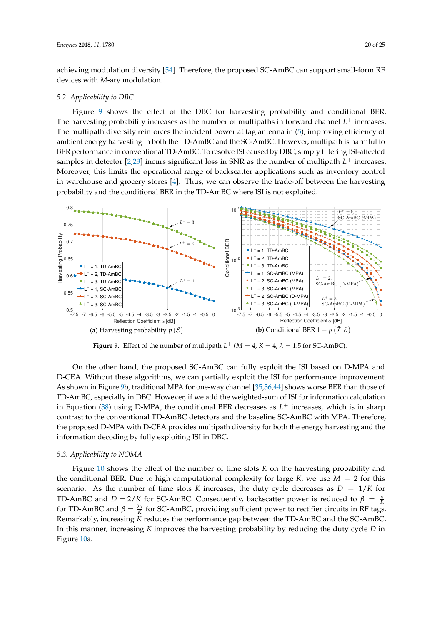achieving modulation diversity [\[54\]](#page-23-20). Therefore, the proposed SC-AmBC can support small-form RF devices with *M*-ary modulation.

#### *5.2. Applicability to DBC*

Figure [9](#page-19-0) shows the effect of the DBC for harvesting probability and conditional BER. The harvesting probability increases as the number of multipaths in forward channel  $L^+$  increases. The multipath diversity reinforces the incident power at tag antenna in [\(5\)](#page-5-2), improving efficiency of ambient energy harvesting in both the TD-AmBC and the SC-AmBC. However, multipath is harmful to BER performance in conventional TD-AmBC. To resolve ISI caused by DBC, simply filtering ISI-affected samples in detector  $[2,23]$  $[2,23]$  incurs significant loss in SNR as the number of multipath  $L^+$  increases. Moreover, this limits the operational range of backscatter applications such as inventory control in warehouse and grocery stores [\[4\]](#page-21-3). Thus, we can observe the trade-off between the harvesting probability and the conditional BER in the TD-AmBC where ISI is not exploited.

<span id="page-19-0"></span>

**Figure 9.** Effect of the number of multipath  $L^+$  ( $M = 4$ ,  $K = 4$ ,  $\lambda = 1.5$  for SC-AmBC).

On the other hand, the proposed SC-AmBC can fully exploit the ISI based on D-MPA and D-CEA. Without these algorithms, we can partially exploit the ISI for performance improvement. As shown in Figure [9b](#page-19-0), traditional MPA for one-way channel [\[35,](#page-23-2)[36](#page-23-3)[,44\]](#page-23-10) shows worse BER than those of TD-AmBC, especially in DBC. However, if we add the weighted-sum of ISI for information calculation in Equation [\(38\)](#page-14-0) using D-MPA, the conditional BER decreases as  $L^+$  increases, which is in sharp contrast to the conventional TD-AmBC detectors and the baseline SC-AmBC with MPA. Therefore, the proposed D-MPA with D-CEA provides multipath diversity for both the energy harvesting and the information decoding by fully exploiting ISI in DBC.

#### *5.3. Applicability to NOMA*

Figure [10](#page-20-0) shows the effect of the number of time slots *K* on the harvesting probability and the conditional BER. Due to high computational complexity for large  $K$ , we use  $M = 2$  for this scenario. As the number of time slots *K* increases, the duty cycle decreases as  $D = 1/K$  for TD-AmBC and  $D = 2/K$  for SC-AmBC. Consequently, backscatter power is reduced to  $\beta = \frac{\alpha}{K}$ for TD-AmBC and  $\beta = \frac{2\alpha}{K}$  for SC-AmBC, providing sufficient power to rectifier circuits in RF tags. Remarkably, increasing *K* reduces the performance gap between the TD-AmBC and the SC-AmBC. In this manner, increasing *K* improves the harvesting probability by reducing the duty cycle *D* in Figure [10a](#page-20-0).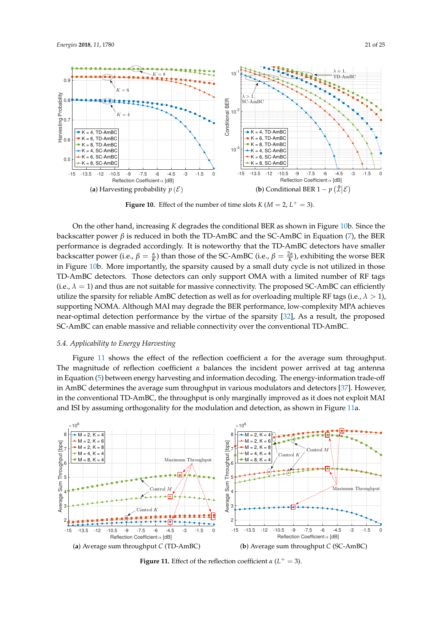<span id="page-20-0"></span>

**Figure 10.** Effect of the number of time slots  $K (M = 2, L^+ = 3)$ .

On the other hand, increasing *K* degrades the conditional BER as shown in Figure [10b](#page-20-0). Since the backscatter power *β* is reduced in both the TD-AmBC and the SC-AmBC in Equation [\(7\)](#page-6-3), the BER performance is degraded accordingly. It is noteworthy that the TD-AmBC detectors have smaller backscatter power (i.e.,  $\beta = \frac{\alpha}{K}$ ) than those of the SC-AmBC (i.e.,  $\beta = \frac{2\alpha}{K}$ ), exhibiting the worse BER in Figure [10b](#page-20-0). More importantly, the sparsity caused by a small duty cycle is not utilized in those TD-AmBC detectors. Those detectors can only support OMA with a limited number of RF tags (i.e.,  $\lambda = 1$ ) and thus are not suitable for massive connectivity. The proposed SC-AmBC can efficiently utilize the sparsity for reliable AmBC detection as well as for overloading multiple RF tags (i.e.,  $\lambda > 1$ ), supporting NOMA. Although MAI may degrade the BER performance, low-complexity MPA achieves near-optimal detection performance by the virtue of the sparsity [\[32\]](#page-22-21), As a result, the proposed SC-AmBC can enable massive and reliable connectivity over the conventional TD-AmBC.

# *5.4. Applicability to Energy Harvesting*

Figure [11](#page-20-1) shows the effect of the reflection coefficient *α* for the average sum throughput. The magnitude of reflection coefficient *α* balances the incident power arrived at tag antenna in Equation [\(5\)](#page-5-2) between energy harvesting and information decoding. The energy-information trade-off in AmBC determines the average sum throughput in various modulators and detectors [\[37\]](#page-23-4). However, in the conventional TD-AmBC, the throughput is only marginally improved as it does not exploit MAI and ISI by assuming orthogonality for the modulation and detection, as shown in Figure [11a](#page-20-1).

<span id="page-20-1"></span>

**Figure 11.** Effect of the reflection coefficient  $\alpha$  ( $L^+ = 3$ ).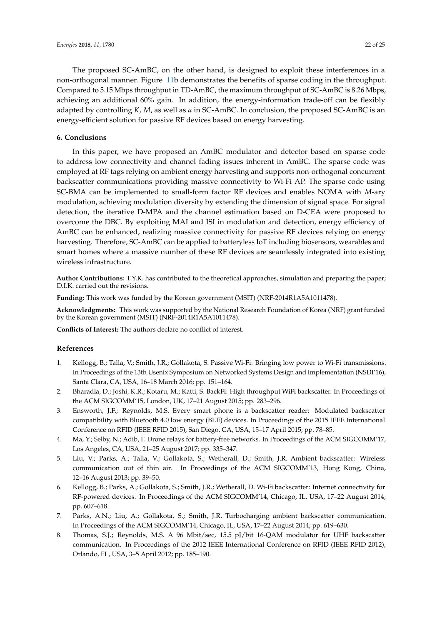The proposed SC-AmBC, on the other hand, is designed to exploit these interferences in a non-orthogonal manner. Figure [11b](#page-20-1) demonstrates the benefits of sparse coding in the throughput. Compared to 5.15 Mbps throughput in TD-AmBC, the maximum throughput of SC-AmBC is 8.26 Mbps, achieving an additional 60% gain. In addition, the energy-information trade-off can be flexibly adapted by controlling *K*, *M*, as well as *α* in SC-AmBC. In conclusion, the proposed SC-AmBC is an energy-efficient solution for passive RF devices based on energy harvesting.

## <span id="page-21-8"></span>**6. Conclusions**

In this paper, we have proposed an AmBC modulator and detector based on sparse code to address low connectivity and channel fading issues inherent in AmBC. The sparse code was employed at RF tags relying on ambient energy harvesting and supports non-orthogonal concurrent backscatter communications providing massive connectivity to Wi-Fi AP. The sparse code using SC-BMA can be implemented to small-form factor RF devices and enables NOMA with *M*-ary modulation, achieving modulation diversity by extending the dimension of signal space. For signal detection, the iterative D-MPA and the channel estimation based on D-CEA were proposed to overcome the DBC. By exploiting MAI and ISI in modulation and detection, energy efficiency of AmBC can be enhanced, realizing massive connectivity for passive RF devices relying on energy harvesting. Therefore, SC-AmBC can be applied to batteryless IoT including biosensors, wearables and smart homes where a massive number of these RF devices are seamlessly integrated into existing wireless infrastructure.

**Author Contributions:** T.Y.K. has contributed to the theoretical approaches, simulation and preparing the paper; D.I.K. carried out the revisions.

**Funding:** This work was funded by the Korean government (MSIT) (NRF-2014R1A5A1011478).

**Acknowledgments:** This work was supported by the National Research Foundation of Korea (NRF) grant funded by the Korean government (MSIT) (NRF-2014R1A5A1011478).

**Conflicts of Interest:** The authors declare no conflict of interest.

## **References**

- <span id="page-21-0"></span>1. Kellogg, B.; Talla, V.; Smith, J.R.; Gollakota, S. Passive Wi-Fi: Bringing low power to Wi-Fi transmissions. In Proceedings of the 13th Usenix Symposium on Networked Systems Design and Implementation (NSDI'16), Santa Clara, CA, USA, 16–18 March 2016; pp. 151–164.
- <span id="page-21-1"></span>2. Bharadia, D.; Joshi, K.R.; Kotaru, M.; Katti, S. BackFi: High throughput WiFi backscatter. In Proceedings of the ACM SIGCOMM'15, London, UK, 17–21 August 2015; pp. 283–296.
- <span id="page-21-2"></span>3. Ensworth, J.F.; Reynolds, M.S. Every smart phone is a backscatter reader: Modulated backscatter compatibility with Bluetooth 4.0 low energy (BLE) devices. In Proceedings of the 2015 IEEE International Conference on RFID (IEEE RFID 2015), San Diego, CA, USA, 15–17 April 2015; pp. 78–85.
- <span id="page-21-3"></span>4. Ma, Y.; Selby, N.; Adib, F. Drone relays for battery-free networks. In Proceedings of the ACM SIGCOMM'17, Los Angeles, CA, USA, 21–25 August 2017; pp. 335–347.
- <span id="page-21-4"></span>5. Liu, V.; Parks, A.; Talla, V.; Gollakota, S.; Wetherall, D.; Smith, J.R. Ambient backscatter: Wireless communication out of thin air. In Proceedings of the ACM SIGCOMM'13, Hong Kong, China, 12–16 August 2013; pp. 39–50.
- <span id="page-21-6"></span>6. Kellogg, B.; Parks, A.; Gollakota, S.; Smith, J.R.; Wetherall, D. Wi-Fi backscatter: Internet connectivity for RF-powered devices. In Proceedings of the ACM SIGCOMM'14, Chicago, IL, USA, 17–22 August 2014; pp. 607–618.
- <span id="page-21-5"></span>7. Parks, A.N.; Liu, A.; Gollakota, S.; Smith, J.R. Turbocharging ambient backscatter communication. In Proceedings of the ACM SIGCOMM'14, Chicago, IL, USA, 17–22 August 2014; pp. 619–630.
- <span id="page-21-7"></span>8. Thomas, S.J.; Reynolds, M.S. A 96 Mbit/sec, 15.5 pJ/bit 16-QAM modulator for UHF backscatter communication. In Proceedings of the 2012 IEEE International Conference on RFID (IEEE RFID 2012), Orlando, FL, USA, 3–5 April 2012; pp. 185–190.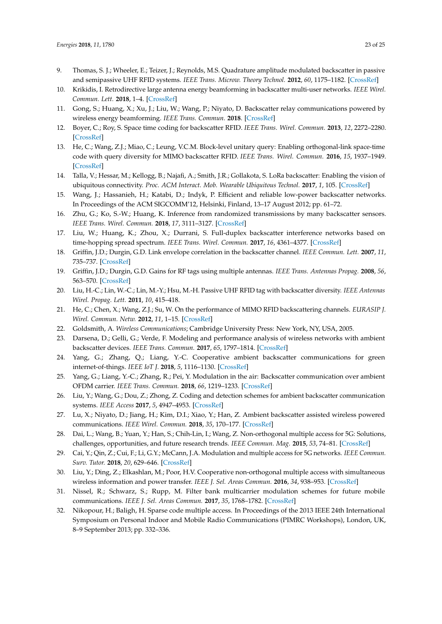- <span id="page-22-0"></span>9. Thomas, S. J.; Wheeler, E.; Teizer, J.; Reynolds, M.S. Quadrature amplitude modulated backscatter in passive and semipassive UHF RFID systems. *IEEE Trans. Microw. Theory Technol.* **2012**, *60*, 1175–1182. [\[CrossRef\]](http://dx.doi.org/10.1109/TMTT.2012.2185810)
- <span id="page-22-1"></span>10. Krikidis, I. Retrodirective large antenna energy beamforming in backscatter multi-user networks. *IEEE Wirel. Commun. Lett.* **2018**, 1–4. [\[CrossRef\]](http://dx.doi.org/10.1109/LWC.2018.2810275)
- <span id="page-22-2"></span>11. Gong, S.; Huang, X.; Xu, J.; Liu, W.; Wang, P.; Niyato, D. Backscatter relay communications powered by wireless energy beamforming. *IEEE Trans. Commun.* **2018**. [\[CrossRef\]](http://dx.doi.org/10.1109/TCOMM.2018.2809613)
- <span id="page-22-3"></span>12. Boyer, C.; Roy, S. Space time coding for backscatter RFID. *IEEE Trans. Wirel. Commun.* **2013**, *12*, 2272–2280. [\[CrossRef\]](http://dx.doi.org/10.1109/TWC.2013.031313.120917)
- <span id="page-22-4"></span>13. He, C.; Wang, Z.J.; Miao, C.; Leung, V.C.M. Block-level unitary query: Enabling orthogonal-link space-time code with query diversity for MIMO backscatter RFID. *IEEE Trans. Wirel. Commun.* **2016**, *15*, 1937–1949. [\[CrossRef\]](http://dx.doi.org/10.1109/TWC.2015.2497240)
- <span id="page-22-5"></span>14. Talla, V.; Hessar, M.; Kellogg, B.; Najafi, A.; Smith, J.R.; Gollakota, S. LoRa backscatter: Enabling the vision of ubiquitous connectivity. *Proc. ACM Interact. Mob. Wearable Ubiquitous Technol.* **2017**, *1*, 105. [\[CrossRef\]](http://dx.doi.org/10.1145/3130970)
- <span id="page-22-6"></span>15. Wang, J.; Hassanieh, H.; Katabi, D.; Indyk, P. Efficient and reliable low-power backscatter networks. In Proceedings of the ACM SIGCOMM'12, Helsinki, Finland, 13–17 August 2012; pp. 61–72.
- <span id="page-22-7"></span>16. Zhu, G.; Ko, S.-W.; Huang, K. Inference from randomized transmissions by many backscatter sensors. *IEEE Trans. Wirel. Commun.* **2018**, *17*, 3111–3127. [\[CrossRef\]](http://dx.doi.org/10.1109/TWC.2018.2806967)
- <span id="page-22-8"></span>17. Liu, W.; Huang, K.; Zhou, X.; Durrani, S. Full-duplex backscatter interference networks based on time-hopping spread spectrum. *IEEE Trans. Wirel. Commun.* **2017**, *16*, 4361–4377. [\[CrossRef\]](http://dx.doi.org/10.1109/TWC.2017.2697864)
- <span id="page-22-9"></span>18. Griffin, J.D.; Durgin, G.D. Link envelope correlation in the backscatter channel. *IEEE Commun. Lett.* **2007**, *11*, 735–737. [\[CrossRef\]](http://dx.doi.org/10.1109/LCOMM.2007.070686)
- <span id="page-22-23"></span>19. Griffin, J.D.; Durgin, G.D. Gains for RF tags using multiple antennas. *IEEE Trans. Antennas Propag.* **2008**, *56*, 563–570. [\[CrossRef\]](http://dx.doi.org/10.1109/TAP.2007.915423)
- <span id="page-22-22"></span>20. Liu, H.-C.; Lin, W.-C.; Lin, M.-Y.; Hsu, M.-H. Passive UHF RFID tag with backscatter diversity. *IEEE Antennas Wirel. Propag. Lett.* **2011**, *10*, 415–418.
- <span id="page-22-10"></span>21. He, C.; Chen, X.; Wang, Z.J.; Su, W. On the performance of MIMO RFID backscattering channels. *EURASIP J. Wirel. Commun. Netw.* **2012**, *11*, 1–15. [\[CrossRef\]](http://dx.doi.org/10.1186/1687-1499-2012-357)
- <span id="page-22-11"></span>22. Goldsmith, A. *Wireless Communications*; Cambridge University Press: New York, NY, USA, 2005.
- <span id="page-22-12"></span>23. Darsena, D.; Gelli, G.; Verde, F. Modeling and performance analysis of wireless networks with ambient backscatter devices. *IEEE Trans. Commun.* **2017**, *65*, 1797–1814. [\[CrossRef\]](http://dx.doi.org/10.1109/TCOMM.2017.2654448)
- <span id="page-22-13"></span>24. Yang, G.; Zhang, Q.; Liang, Y.-C. Cooperative ambient backscatter communications for green internet-of-things. *IEEE IoT J.* **2018**, *5*, 1116–1130. [\[CrossRef\]](http://dx.doi.org/10.1109/JIOT.2018.2799848)
- <span id="page-22-14"></span>25. Yang, G.; Liang, Y.-C.; Zhang, R.; Pei, Y. Modulation in the air: Backscatter communication over ambient OFDM carrier. *IEEE Trans. Commun.* **2018**, *66*, 1219–1233. [\[CrossRef\]](http://dx.doi.org/10.1109/TCOMM.2017.2772261)
- <span id="page-22-15"></span>26. Liu, Y.; Wang, G.; Dou, Z.; Zhong, Z. Coding and detection schemes for ambient backscatter communication systems. *IEEE Access* **2017**, *5*, 4947–4953. [\[CrossRef\]](http://dx.doi.org/10.1109/ACCESS.2017.2679135)
- <span id="page-22-16"></span>27. Lu, X.; Niyato, D.; Jiang, H.; Kim, D.I.; Xiao, Y.; Han, Z. Ambient backscatter assisted wireless powered communications. *IEEE Wirel. Commun.* **2018**, *35*, 170–177. [\[CrossRef\]](http://dx.doi.org/10.1109/MWC.2017.1600398)
- <span id="page-22-17"></span>28. Dai, L.; Wang, B.; Yuan, Y.; Han, S.; Chih-Lin, I.; Wang, Z. Non-orthogonal multiple access for 5G: Solutions, challenges, opportunities, and future research trends. *IEEE Commun. Mag.* **2015**, *53*, 74–81. [\[CrossRef\]](http://dx.doi.org/10.1109/MCOM.2015.7263349)
- <span id="page-22-18"></span>29. Cai, Y.; Qin, Z.; Cui, F.; Li, G.Y.; McCann, J.A. Modulation and multiple access for 5G networks. *IEEE Commun. Surv. Tutor.* **2018**, *20*, 629–646. [\[CrossRef\]](http://dx.doi.org/10.1109/COMST.2017.2766698)
- <span id="page-22-19"></span>30. Liu, Y.; Ding, Z.; Elkashlan, M.; Poor, H.V. Cooperative non-orthogonal multiple access with simultaneous wireless information and power transfer. *IEEE J. Sel. Areas Commun.* **2016**, *34*, 938–953. [\[CrossRef\]](http://dx.doi.org/10.1109/JSAC.2016.2549378)
- <span id="page-22-20"></span>31. Nissel, R.; Schwarz, S.; Rupp, M. Filter bank multicarrier modulation schemes for future mobile communications. *IEEE J. Sel. Areas Commun.* **2017**, *35*, 1768–1782. [\[CrossRef\]](http://dx.doi.org/10.1109/JSAC.2017.2710022)
- <span id="page-22-21"></span>32. Nikopour, H.; Baligh, H. Sparse code multiple access. In Proceedings of the 2013 IEEE 24th International Symposium on Personal Indoor and Mobile Radio Communications (PIMRC Workshops), London, UK, 8–9 September 2013; pp. 332–336.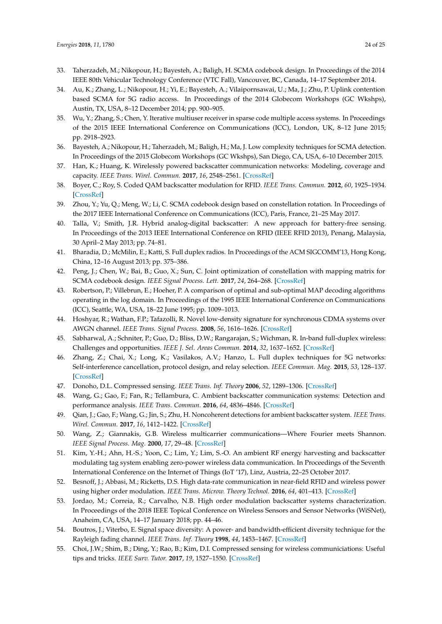- <span id="page-23-0"></span>33. Taherzadeh, M.; Nikopour, H.; Bayesteh, A.; Baligh, H. SCMA codebook design. In Proceedings of the 2014 IEEE 80th Vehicular Technology Conference (VTC Fall), Vancouver, BC, Canada, 14–17 September 2014.
- <span id="page-23-1"></span>34. Au, K.; Zhang, L.; Nikopour, H.; Yi, E.; Bayesteh, A.; Vilaipornsawai, U.; Ma, J.; Zhu, P. Uplink contention based SCMA for 5G radio access. In Proceedings of the 2014 Globecom Workshops (GC Wkshps), Austin, TX, USA, 8–12 December 2014; pp. 900–905.
- <span id="page-23-2"></span>35. Wu, Y.; Zhang, S.; Chen, Y. Iterative multiuser receiver in sparse code multiple access systems. In Proceedings of the 2015 IEEE International Conference on Communications (ICC), London, UK, 8–12 June 2015; pp. 2918–2923.
- <span id="page-23-3"></span>36. Bayesteh, A.; Nikopour, H.; Taherzadeh, M.; Baligh, H.; Ma, J. Low complexity techniques for SCMA detection. In Proceedings of the 2015 Globecom Workshops (GC Wkshps), San Diego, CA, USA, 6–10 December 2015.
- <span id="page-23-4"></span>37. Han, K.; Huang, K. Wirelessly powered backscatter communication networks: Modeling, coverage and capacity. *IEEE Trans. Wirel. Commun.* **2017**, *16*, 2548–2561. [\[CrossRef\]](http://dx.doi.org/10.1109/TWC.2017.2665629)
- <span id="page-23-5"></span>38. Boyer, C.; Roy, S. Coded QAM backscatter modulation for RFID. *IEEE Trans. Commun.* **2012**, *60*, 1925–1934. [\[CrossRef\]](http://dx.doi.org/10.1109/TCOMM.2012.051012.110317)
- <span id="page-23-6"></span>39. Zhou, Y.; Yu, Q.; Meng, W.; Li, C. SCMA codebook design based on constellation rotation. In Proceedings of the 2017 IEEE International Conference on Communications (ICC), Paris, France, 21–25 May 2017.
- <span id="page-23-7"></span>40. Talla, V.; Smith, J.R. Hybrid analog-digital backscatter: A new approach for battery-free sensing. In Proceedings of the 2013 IEEE International Conference on RFID (IEEE RFID 2013), Penang, Malaysia, 30 April–2 May 2013; pp. 74–81.
- <span id="page-23-8"></span>41. Bharadia, D.; McMilin, E.; Katti, S. Full duplex radios. In Proceedings of the ACM SIGCOMM'13, Hong Kong, China, 12–16 August 2013; pp. 375–386.
- <span id="page-23-9"></span>42. Peng, J.; Chen, W.; Bai, B.; Guo, X.; Sun, C. Joint optimization of constellation with mapping matrix for SCMA codebook design. *IEEE Signal Process. Lett.* **2017**, *24*, 264–268. [\[CrossRef\]](http://dx.doi.org/10.1109/LSP.2017.2653845)
- <span id="page-23-22"></span>43. Robertson, P.; Villebrun, E.; Hoeher, P. A comparison of optimal and sub-optimal MAP decoding algorithms operating in the log domain. In Proceedings of the 1995 IEEE International Conference on Communications (ICC), Seattle, WA, USA, 18–22 June 1995; pp. 1009–1013.
- <span id="page-23-10"></span>44. Hoshyar, R.; Wathan, F.P.; Tafazolli, R. Novel low-density signature for synchronous CDMA systems over AWGN channel. *IEEE Trans. Signal Process.* **2008**, *56*, 1616–1626. [\[CrossRef\]](http://dx.doi.org/10.1109/TSP.2007.909320)
- <span id="page-23-11"></span>45. Sabharwal, A.; Schniter, P.; Guo, D.; Bliss, D.W.; Rangarajan, S.; Wichman, R. In-band full-duplex wireless: Challenges and opportunities. *IEEE J. Sel. Areas Commun.* **2014**, *32*, 1637–1652. [\[CrossRef\]](http://dx.doi.org/10.1109/JSAC.2014.2330193)
- <span id="page-23-12"></span>46. Zhang, Z.; Chai, X.; Long, K.; Vasilakos, A.V.; Hanzo, L. Full duplex techniques for 5G networks: Self-interference cancellation, protocol design, and relay selection. *IEEE Commun. Mag.* **2015**, *53*, 128–137. [\[CrossRef\]](http://dx.doi.org/10.1109/MCOM.2015.7105651)
- <span id="page-23-13"></span>47. Donoho, D.L. Compressed sensing. *IEEE Trans. Inf. Theory* **2006**, *52*, 1289–1306. [\[CrossRef\]](http://dx.doi.org/10.1109/TIT.2006.871582)
- <span id="page-23-14"></span>48. Wang, G.; Gao, F.; Fan, R.; Tellambura, C. Ambient backscatter communication systems: Detection and performance analysis. *IEEE Trans. Commun.* **2016**, *64*, 4836–4846. [\[CrossRef\]](http://dx.doi.org/10.1109/TCOMM.2016.2602341)
- <span id="page-23-15"></span>49. Qian, J.; Gao, F.; Wang, G.; Jin, S.; Zhu, H. Noncoherent detections for ambient backscatter system. *IEEE Trans. Wirel. Commun.* **2017**, *16*, 1412–1422. [\[CrossRef\]](http://dx.doi.org/10.1109/TWC.2016.2635654)
- <span id="page-23-16"></span>50. Wang, Z.; Giannakis, G.B. Wireless multicarrier communications—Where Fourier meets Shannon. *IEEE Signal Process. Mag.* **2000**, *17*, 29–48. [\[CrossRef\]](http://dx.doi.org/10.1109/79.841722)
- <span id="page-23-17"></span>51. Kim, Y.-H.; Ahn, H.-S.; Yoon, C.; Lim, Y.; Lim, S.-O. An ambient RF energy harvesting and backscatter modulating tag system enabling zero-power wireless data communication. In Proceedings of the Seventh International Conference on the Internet of Things (IoT '17), Linz, Austria, 22–25 October 2017.
- <span id="page-23-18"></span>52. Besnoff, J.; Abbasi, M.; Ricketts, D.S. High data-rate communication in near-field RFID and wireless power using higher order modulation. *IEEE Trans. Microw. Theory Technol.* **2016**, *64*, 401–413. [\[CrossRef\]](http://dx.doi.org/10.1109/TMTT.2016.2515586)
- <span id="page-23-19"></span>53. Jordao, M.; Correia, R.; Carvalho, N.B. High order modulation backscatter systems characterization. In Proceedings of the 2018 IEEE Topical Conference on Wireless Sensors and Sensor Networks (WiSNet), Anaheim, CA, USA, 14–17 January 2018; pp. 44–46.
- <span id="page-23-20"></span>54. Boutros, J.; Viterbo, E. Signal space diversity: A power- and bandwidth-efficient diversity technique for the Rayleigh fading channel. *IEEE Trans. Inf. Theory* **1998**, *44*, 1453–1467. [\[CrossRef\]](http://dx.doi.org/10.1109/18.681321)
- <span id="page-23-21"></span>55. Choi, J.W.; Shim, B.; Ding, Y.; Rao, B.; Kim, D.I. Compressed sensing for wireless communiciations: Useful tips and tricks. *IEEE Surv. Tutor.* **2017**, *19*, 1527–1550. [\[CrossRef\]](http://dx.doi.org/10.1109/COMST.2017.2664421)